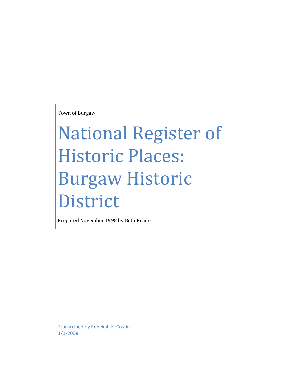Town of Burgaw

# National Register of Historic Places: Burgaw Historic District

Prepared November 1998 by Beth Keane

Transcribed by Rebekah K. Costin 1/1/2008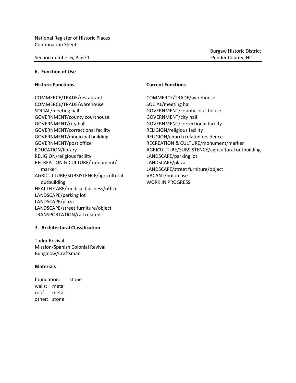#### Section number 6, Page 1 Pender County, NC

Burgaw Historic District

#### **6. Function of Use**

#### **Historic Functions Current Functions**

COMMERCE/TRADE/restaurant COMMERCE/TRADE/warehouse COMMERCE/TRADE/warehouse SOCIAL/meeting hall SOCIAL/meeting hall GOVERNMENT/county courthouse GOVERNMENT/county courthouse GOVERNMENT/city hall GOVERNMENT/city hall GOVERNMENT/correctional facility GOVERNMENT/correctional facility RELIGION/religious facility GOVERNMENT/municipal building RELIGION/church related residence RELIGION/religious facility LANDSCAPE/parking lot RECREATION & CULTURE/monument/ LANDSCAPE/plaza marker LANDSCAPE/street furniture/object AGRICULTURE/SUBSISTENCE/agricultural VACANT/not in use outbuilding WORK IN PROGRESS HEALTH CARE/medical business/office LANDSCAPE/parking lot LANDSCAPE/plaza LANDSCAPE/street furniture/object TRANSPORTATION/rail related

GOVERNMENT/post office The RECREATION & CULTURE/monument/marker EDUCATION/library AGRICULTURE/SUBSISTENCE/agricultural outbuilding

#### **7. Architectural Classification**

Tudor Revival Mission/Spanish Colonial Revival Bungalow/Craftsman

#### **Materials**

foundation: stone walls: metal roof: metal other: stone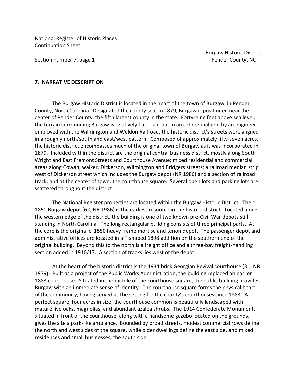Section number 7, page 1 Pender County, NC

#### **7. NARRATIVE DESCRIPTION**

The Burgaw Historic District is located in the heart of the town of Burgaw, in Pender County, North Carolina. Designated the county seat in 1879, Burgaw is positioned near the center of Pender County, the fifth largest county in the state. Forty-nine feet above sea level, the terrain surrounding Burgaw is relatively flat. Laid out in an orthogonal grid by an engineer employed with the Wilmington and Weldon Railroad, the historic district's streets were aligned in a roughly north/south and east/west pattern. Composed of approximately fifty-seven acres, the historic district encompasses much of the original town of Burgaw as it was incorporated in 1879. Included within the district are the original central business district, mostly along South Wright and East Fremont Streets and Courthouse Avenue; mixed residential and commercial areas along Cowan, walker, Dickerson, Wilmington and Bridgers streets; a railroad median strip west of Dickerson street which includes the Burgaw depot (NR 1986) and a section of railroad track; and at the center of town, the courthouse square. Several open lots and parking lots are scattered throughout the district.

The National Register properties are located within the Burgaw Historic District. The c. 1850 Burgaw depot (62; NR 1986) is the earliest resource in the historic district. Located along the western edge of the district, the building is one of two known pre-Civil War depots still standing in North Carolina. The long rectangular building consists of three principal parts. At the core is the original c. 1850 heavy frame mortise and tenon depot. The passenger depot and administrative offices are located in a T-shaped 1898 addition on the southern end of the original building. Beyond this to the north is a freight office and a three-bay freight-handling section added in 1916/17. A section of tracks lies west of the depot.

At the heart of the historic district is the 1934 brick Georgian Revival courthouse (31; NR 1979). Built as a project of the Public Works Administration, the building replaced an earlier 1883 courthouse. Situated in the middle of the courthouse square, the public building provides Burgaw with an immediate sense of identity. The courthouse square forms the physical heart of the community, having served as the setting for the county's courthouses since 1883. A perfect square, four acres in size, the courthouse common is beautifully landscaped with mature live oaks, magnolias, and abundant azalea shrubs. The 1914 Confederate Monument, situated in front of the courthouse, along with a handsome gazebo located on the grounds, gives the site a park-like ambiance. Bounded by broad streets, modest commercial rows define the north and west sides of the square, while older dwellings define the east side, and mixed residences and small businesses, the south side.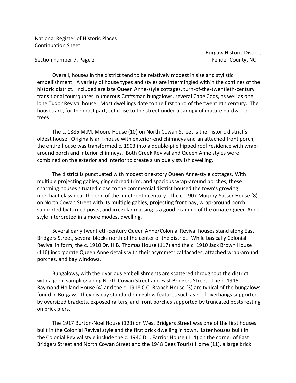Section number 7, Page 2 **Pender County, NC** 

Overall, houses in the district tend to be relatively modest in size and stylistic embellishment. A variety of house types and styles are intermingled within the confines of the historic district. Included are late Queen Anne-style cottages, turn-of-the-twentieth-century transitional foursquares, numerous Craftsman bungalows, several Cape Cods, as well as one lone Tudor Revival house. Most dwellings date to the first third of the twentieth century. The houses are, for the most part, set close to the street under a canopy of mature hardwood trees.

The c. 1885 M.M. Moore House (10) on North Cowan Street is the historic district's oldest house. Originally an I-house with exterior-end chimneys and an attached front porch, the entire house was transformed c. 1903 into a double-pile hipped roof residence with wraparound porch and interior chimneys. Both Greek Revival and Queen Anne styles were combined on the exterior and interior to create a uniquely stylish dwelling.

The district is punctuated with modest one-story Queen Anne-style cottages, With multiple projecting gables, gingerbread trim, and spacious wrap-around porches, these charming houses situated close to the commercial district housed the town's growing merchant class near the end of the nineteenth century. The c. 1907 Murphy-Sasser House (8) on North Cowan Street with its multiple gables, projecting front bay, wrap-around porch supported by turned posts, and irregular massing is a good example of the ornate Queen Anne style interpreted in a more modest dwelling.

Several early twentieth-century Queen Anne/Colonial Revival houses stand along East Bridgers Street, several blocks north of the center of the district. While basically Colonial Revival in form, the c. 1910 Dr. H.B. Thomas House (117) and the c. 1910 Jack Brown House (116) incorporate Queen Anne details with their asymmetrical facades, attached wrap-around porches, and bay windows.

Bungalows, with their various embellishments are scattered throughout the district, with a good sampling along North Cowan Street and East Bridgers Street. The c. 1915 Raymond Holland House (4) and the c. 1918 C.C. Branch House (3) are typical of the bungalows found in Burgaw. They display standard bungalow features such as roof overhangs supported by oversized brackets, exposed rafters, and front porches supported by truncated posts resting on brick piers.

The 1917 Burton-Noel House (123) on West Bridgers Street was one of the first houses built in the Colonial Revival style and the first brick dwelling in town. Later houses built in the Colonial Revival style include the c. 1940 D.J. Farrior House (114) on the corner of East Bridgers Street and North Cowan Street and the 1948 Dees Tourist Home (11), a large brick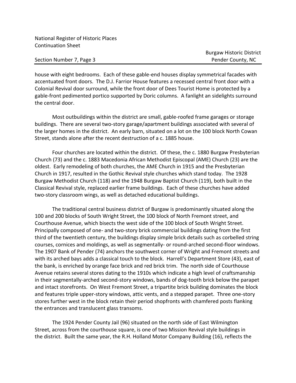Section Number 7, Page 3 Pender County, NC

house with eight bedrooms. Each of these gable-end houses display symmetrical facades with accentuated front doors. The D.J. Farrior House features a recessed central front door with a Colonial Revival door surround, while the front door of Dees Tourist Home is protected by a gable-front pedimented portico supported by Doric columns. A fanlight an sidelights surround the central door.

Most outbuildings within the district are small, gable-roofed frame garages or storage buildings. There are several two-story garage/apartment buildings associated with several of the larger homes in the district. An early barn, situated on a lot on the 100 block North Cowan Street, stands alone after the recent destruction of a c. 1885 house.

Four churches are located within the district. Of these, the c. 1880 Burgaw Presbyterian Church (73) and the c. 1883 Macedonia African Methodist Episcopal (AME) Church (23) are the oldest. Early remodeling of both churches, the AME Church in 1915 and the Presbyterian Church in 1917, resulted in the Gothic Revival style churches which stand today. The 1928 Burgaw Methodist Church (118) and the 1948 Burgaw Baptist Church (119), both built in the Classical Revival style, replaced earlier frame buildings. Each of these churches have added two-story classroom wings, as well as detached educational buildings.

The traditional central business district of Burgaw is predominantly situated along the 100 and 200 blocks of South Wright Street, the 100 block of North Fremont street, and Courthouse Avenue, which bisects the west side of the 100 block of South Wright Street. Principally composed of one- and two-story brick commercial buildings dating from the first third of the twentieth century, the buildings display simple brick details such as corbelled string courses, cornices and moldings, as well as segmentally- or round-arched second-floor windows. The 1907 Bank of Pender (74) anchors the southwest corner of Wright and Fremont streets and with its arched bays adds a classical touch to the block. Harrell's Department Store (43), east of the bank, is enriched by orange face brick and red brick trim. The north side of Courthouse Avenue retains several stores dating to the 1910s which indicate a high level of craftsmanship in their segmentally-arched second-story windows, bands of dog-tooth brick below the parapet and intact storefronts. On West Fremont Street, a tripartite brick building dominates the block and features triple upper-story windows, attic vents, and a stepped parapet. Three one-story stores further west in the block retain their period shopfronts with chamfered posts flanking the entrances and translucent glass transoms.

The 1924 Pender County Jail (96) situated on the north side of East Wilmington Street, across from the courthouse square, is one of two Mission Revival style buildings in the district. Built the same year, the R.H. Holland Motor Company Building (16), reflects the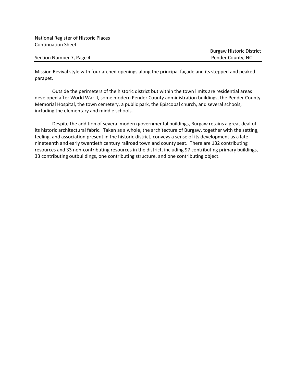Section Number 7, Page 4 Pender County, NC

Mission Revival style with four arched openings along the principal façade and its stepped and peaked parapet.

Outside the perimeters of the historic district but within the town limits are residential areas developed after World War II, some modern Pender County administration buildings, the Pender County Memorial Hospital, the town cemetery, a public park, the Episcopal church, and several schools, including the elementary and middle schools.

Despite the addition of several modern governmental buildings, Burgaw retains a great deal of its historic architectural fabric. Taken as a whole, the architecture of Burgaw, together with the setting, feeling, and association present in the historic district, conveys a sense of its development as a latenineteenth and early twentieth century railroad town and county seat. There are 132 contributing resources and 33 non-contributing resources in the district, including 97 contributing primary buildings, 33 contributing outbuildings, one contributing structure, and one contributing object.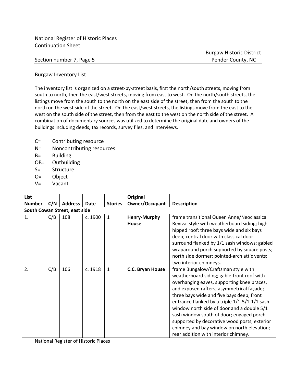Section number 7, Page 5 Pender County, NC

Burgaw Historic District

Burgaw Inventory List

The inventory list is organized on a street-by-street basis, first the north/south streets, moving from south to north, then the east/west streets, moving from east to west. On the north/south streets, the listings move from the south to the north on the east side of the street, then from the south to the north on the west side of the street. On the east/west streets, the listings move from the east to the west on the south side of the street, then from the east to the west on the north side of the street. A combination of documentary sources was utilized to determine the original date and owners of the buildings including deeds, tax records, survey files, and interviews.

- C= Contributing resource
- N= Noncontributing resources
- B= Building
- OB= Outbuilding
- S= Structure
- O= Object
- V= Vacant

| List                          |     |                |         |                | <b>Original</b>              |                                                                                                                                                                                                                                                                                                                                                                                                                                                                                                            |  |  |  |
|-------------------------------|-----|----------------|---------|----------------|------------------------------|------------------------------------------------------------------------------------------------------------------------------------------------------------------------------------------------------------------------------------------------------------------------------------------------------------------------------------------------------------------------------------------------------------------------------------------------------------------------------------------------------------|--|--|--|
| <b>Number</b>                 | C/N | <b>Address</b> | Date    | <b>Stories</b> | Owner/Occupant               | <b>Description</b>                                                                                                                                                                                                                                                                                                                                                                                                                                                                                         |  |  |  |
| South Cowan Street, east side |     |                |         |                |                              |                                                                                                                                                                                                                                                                                                                                                                                                                                                                                                            |  |  |  |
| 1.                            | C/B | 108            | c. 1900 | $\mathbf{1}$   | <b>Henry-Murphy</b><br>House | frame transitional Queen Anne/Neoclassical<br>Revival style with weatherboard siding; high<br>hipped roof; three bays wide and six bays<br>deep; central door with classical door<br>surround flanked by 1/1 sash windows; gabled<br>wraparound porch supported by square posts;<br>north side dormer; pointed-arch attic vents;<br>two interior chimneys.                                                                                                                                                 |  |  |  |
| 2.                            | C/B | 106            | c. 1918 | $\mathbf{1}$   | C.C. Bryan House             | frame Bungalow/Craftsman style with<br>weatherboard siding; gable-front roof with<br>overhanging eaves, supporting knee braces,<br>and exposed rafters; asymmetrical façade;<br>three bays wide and five bays deep; front<br>entrance flanked by a triple 1/1-5/1-1/1 sash<br>window north side of door and a double 5/1<br>sash window south of door; engaged porch<br>supported by decorative wood posts; exterior<br>chimney and bay window on north elevation;<br>rear addition with interior chimney. |  |  |  |

National Register of Historic Places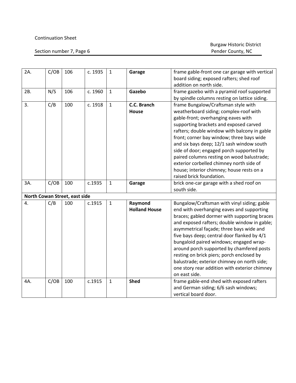#### Continuation Sheet

| 2A. | C/OB | 106                           | c. 1935 | $\mathbf{1}$ | Garage                          | frame gable-front one car garage with vertical<br>board siding; exposed rafters; shed roof<br>addition on north side.                                                                                                                                                                                                                                                                                                                                                                                                                     |
|-----|------|-------------------------------|---------|--------------|---------------------------------|-------------------------------------------------------------------------------------------------------------------------------------------------------------------------------------------------------------------------------------------------------------------------------------------------------------------------------------------------------------------------------------------------------------------------------------------------------------------------------------------------------------------------------------------|
| 2B. | N/S  | 106                           | c. 1960 | $\mathbf 1$  | Gazebo                          | frame gazebo with a pyramid roof supported<br>by spindle columns resting on lattice siding.                                                                                                                                                                                                                                                                                                                                                                                                                                               |
| 3.  | C/B  | 100                           | c. 1918 | $\mathbf{1}$ | C.C. Branch<br>House            | frame Bungalow/Craftsman style with<br>weatherboard siding; complex-roof with<br>gable-front; overhanging eaves with<br>supporting brackets and exposed carved<br>rafters; double window with balcony in gable<br>front; corner bay window; three bays wide<br>and six bays deep; 12/1 sash window south<br>side of door; engaged porch supported by<br>paired columns resting on wood balustrade;<br>exterior corbelled chimney north side of<br>house; interior chimney; house rests on a<br>raised brick foundation.                   |
| 3A. | C/OB | 100                           | c.1935  | $\mathbf{1}$ | Garage                          | brick one-car garage with a shed roof on<br>south side.                                                                                                                                                                                                                                                                                                                                                                                                                                                                                   |
|     |      | North Cowan Street, east side |         |              |                                 |                                                                                                                                                                                                                                                                                                                                                                                                                                                                                                                                           |
| 4.  | C/B  | 100                           | c.1915  | $\mathbf{1}$ | Raymond<br><b>Holland House</b> | Bungalow/Craftsman with vinyl siding; gable<br>end with overhanging eaves and supporting<br>braces; gabled dormer with supporting braces<br>and exposed rafters; double window in gable;<br>asymmetrical façade; three bays wide and<br>five bays deep; central door flanked by 4/1<br>bungaloid paired windows; engaged wrap-<br>around porch supported by chamfered posts<br>resting on brick piers; porch enclosed by<br>balustrade; exterior chimney on north side;<br>one story rear addition with exterior chimney<br>on east side. |
| 4A. | C/OB | 100                           | c.1915  | $\mathbf{1}$ | <b>Shed</b>                     | frame gable-end shed with exposed rafters<br>and German siding; 6/6 sash windows;<br>vertical board door.                                                                                                                                                                                                                                                                                                                                                                                                                                 |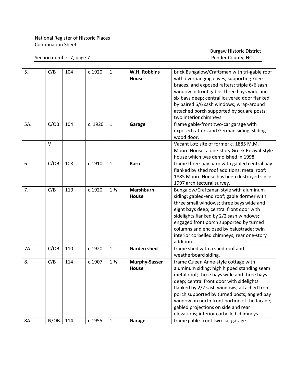Section number 7, page 7

| 5.  | C/B  | 104 | c.1920  | $\mathbf{1}$   | W.H. Robbins<br><b>House</b> | brick Bungalow/Craftsman with tri-gable roof<br>with overhanging eaves, supporting knee |
|-----|------|-----|---------|----------------|------------------------------|-----------------------------------------------------------------------------------------|
|     |      |     |         |                |                              | braces, and exposed rafters; triple 6/6 sash                                            |
|     |      |     |         |                |                              | window in front gable; three bays wide and                                              |
|     |      |     |         |                |                              | six bays deep; central louvered door flanked                                            |
|     |      |     |         |                |                              | by paired 6/6 sash windows; wrap-around                                                 |
|     |      |     |         |                |                              | attached porch supported by square posts;                                               |
|     |      |     |         |                |                              | two interior chimneys.                                                                  |
| 5A. | C/OB | 104 | c. 1920 | $\mathbf{1}$   | Garage                       | frame gable-front two-car garage with                                                   |
|     |      |     |         |                |                              | exposed rafters and German siding; sliding                                              |
|     |      |     |         |                |                              | wood door.                                                                              |
|     | V    |     |         |                |                              | Vacant Lot; site of former c. 1885 M.M.                                                 |
|     |      |     |         |                |                              | Moore House, a one-story Greek Revival-style                                            |
|     |      |     |         |                |                              | house which was demolished in 1998.                                                     |
| 6.  | C/OB | 108 | c.1910  | $\mathbf{1}$   | <b>Barn</b>                  | frame three-bay barn with gabled central bay                                            |
|     |      |     |         |                |                              | flanked by shed roof additions; metal roof;                                             |
|     |      |     |         |                |                              | 1885 Moore House has been destroyed since                                               |
|     |      |     |         |                |                              | 1997 architectural survey.                                                              |
| 7.  | C/B  | 110 | c.1920  | 1 <sub>2</sub> | <b>Marshburn</b>             | Bungalow/Craftsman style with aluminum                                                  |
|     |      |     |         |                | House                        | siding; gabled-end roof; gable dormer with                                              |
|     |      |     |         |                |                              | three small windows; three bays wide and                                                |
|     |      |     |         |                |                              | eight bays deep; central front door with                                                |
|     |      |     |         |                |                              | sidelights flanked by 2/2 sash windows;                                                 |
|     |      |     |         |                |                              | engaged front porch supported by turned                                                 |
|     |      |     |         |                |                              | columns and enclosed by balustrade; twin                                                |
|     |      |     |         |                |                              | interior corbelled chimneys; rear one-story                                             |
|     |      |     |         |                |                              | addition.                                                                               |
| 7A. | C/OB | 110 | c.1920  | $\mathbf{1}$   | <b>Garden shed</b>           | frame shed with a shed roof and                                                         |
|     |      |     |         |                |                              | weatherboard siding.                                                                    |
| 8.  | C/B  | 114 | c.1907  | 1 <sub>2</sub> | <b>Murphy-Sasser</b>         | frame Queen Anne-style cottage with                                                     |
|     |      |     |         |                | <b>House</b>                 | aluminum siding; high hipped standing seam                                              |
|     |      |     |         |                |                              | metal roof; three bays wide and three bays                                              |
|     |      |     |         |                |                              | deep; central front door with sidelights                                                |
|     |      |     |         |                |                              | flanked by 2/2 sash windows; attached front                                             |
|     |      |     |         |                |                              | porch supported by turned posts; angled bay                                             |
|     |      |     |         |                |                              | window on north front portion of the façade;                                            |
|     |      |     |         |                |                              | gabled projections on side and rear                                                     |
|     |      |     |         |                |                              | elevations; interior corbelled chimneys.                                                |
| 8A. | N/OB | 114 | c.1955  | $\mathbf{1}$   | Garage                       | frame gable-front two-car garage.                                                       |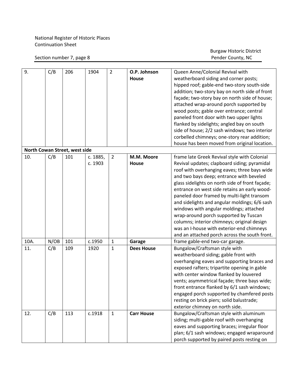#### Section number 7, page 8

| 9.   | C/B  | 206                           | 1904     | $\overline{2}$ | O.P. Johnson      | Queen Anne/Colonial Revival with                |
|------|------|-------------------------------|----------|----------------|-------------------|-------------------------------------------------|
|      |      |                               |          |                | <b>House</b>      | weatherboard siding and corner posts;           |
|      |      |                               |          |                |                   | hipped roof; gable-end two-story south-side     |
|      |      |                               |          |                |                   | addition; two-story bay on north side of front  |
|      |      |                               |          |                |                   | façade; two-story bay on north side of house;   |
|      |      |                               |          |                |                   | attached wrap-around porch supported by         |
|      |      |                               |          |                |                   | wood posts; gable over entrance; central        |
|      |      |                               |          |                |                   | paneled front door with two upper lights        |
|      |      |                               |          |                |                   | flanked by sidelights; angled bay on south      |
|      |      |                               |          |                |                   | side of house; 2/2 sash windows; two interior   |
|      |      |                               |          |                |                   | corbelled chimneys; one-story rear addition;    |
|      |      |                               |          |                |                   | house has been moved from original location.    |
|      |      | North Cowan Street, west side |          |                |                   |                                                 |
| 10.  | C/B  | 101                           | c. 1885, | $\overline{2}$ | M.M. Moore        | frame late Greek Revival style with Colonial    |
|      |      |                               | c. 1903  |                | <b>House</b>      | Revival updates; clapboard siding; pyramidal    |
|      |      |                               |          |                |                   | roof with overhanging eaves; three bays wide    |
|      |      |                               |          |                |                   | and two bays deep; entrance with beveled        |
|      |      |                               |          |                |                   | glass sidelights on north side of front façade; |
|      |      |                               |          |                |                   | entrance on west side retains an early wood-    |
|      |      |                               |          |                |                   | paneled door framed by multi-light transom      |
|      |      |                               |          |                |                   | and sidelights and angular moldings; 6/6 sash   |
|      |      |                               |          |                |                   | windows with angular moldings; attached         |
|      |      |                               |          |                |                   | wrap-around porch supported by Tuscan           |
|      |      |                               |          |                |                   | columns; interior chimneys; original design     |
|      |      |                               |          |                |                   | was an I-house with exterior-end chimneys       |
|      |      |                               |          |                |                   | and an attached porch across the south front.   |
| 10A. | N/OB | 101                           | c.1950   | $\mathbf{1}$   | Garage            | frame gable-end two-car garage.                 |
| 11.  | C/B  | 109                           | 1920     | $\mathbf{1}$   | <b>Dees House</b> | Bungalow/Craftsman style with                   |
|      |      |                               |          |                |                   | weatherboard siding; gable front with           |
|      |      |                               |          |                |                   | overhanging eaves and supporting braces and     |
|      |      |                               |          |                |                   | exposed rafters; tripartite opening in gable    |
|      |      |                               |          |                |                   | with center window flanked by louvered          |
|      |      |                               |          |                |                   | vents; asymmetrical façade; three bays wide;    |
|      |      |                               |          |                |                   | front entrance flanked by 6/1 sash windows;     |
|      |      |                               |          |                |                   | engaged porch supported by chamfered posts      |
|      |      |                               |          |                |                   | resting on brick piers; solid balustrade;       |
|      |      |                               |          |                |                   | exterior chimney on north side.                 |
| 12.  | C/B  | 113                           | c.1918   | $\mathbf{1}$   | <b>Carr House</b> | Bungalow/Craftsman style with aluminum          |
|      |      |                               |          |                |                   | siding; multi-gable roof with overhanging       |
|      |      |                               |          |                |                   | eaves and supporting braces; irregular floor    |
|      |      |                               |          |                |                   | plan; 6/1 sash windows; engaged wraparound      |
|      |      |                               |          |                |                   | porch supported by paired posts resting on      |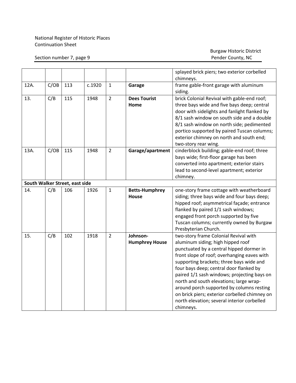#### Section number 7, page 9

|      |      |                                |        |                |                       | splayed brick piers; two exterior corbelled       |
|------|------|--------------------------------|--------|----------------|-----------------------|---------------------------------------------------|
|      |      |                                |        |                |                       | chimneys.                                         |
| 12A. | C/OB | 113                            | c.1920 | $\mathbf{1}$   | Garage                | frame gable-front garage with aluminum<br>siding. |
| 13.  | C/B  | 115                            | 1948   | $\overline{2}$ | <b>Dees Tourist</b>   | brick Colonial Revival with gable-end roof;       |
|      |      |                                |        |                | Home                  | three bays wide and five bays deep; central       |
|      |      |                                |        |                |                       | door with sidelights and fanlight flanked by      |
|      |      |                                |        |                |                       | 8/1 sash window on south side and a double        |
|      |      |                                |        |                |                       | 8/1 sash window on north side; pedimented         |
|      |      |                                |        |                |                       | portico supported by paired Tuscan columns;       |
|      |      |                                |        |                |                       | exterior chimney on north and south end;          |
|      |      |                                |        |                |                       | two-story rear wing.                              |
| 13A. | C/OB | 115                            | 1948   | $\overline{2}$ | Garage/apartment      | cinderblock building; gable-end roof; three       |
|      |      |                                |        |                |                       | bays wide; first-floor garage has been            |
|      |      |                                |        |                |                       | converted into apartment; exterior stairs         |
|      |      |                                |        |                |                       | lead to second-level apartment; exterior          |
|      |      |                                |        |                |                       | chimney.                                          |
|      |      | South Walker Street, east side |        |                |                       |                                                   |
| 14.  | C/B  | 106                            | 1926   | $\mathbf{1}$   | <b>Betts-Humphrey</b> | one-story frame cottage with weatherboard         |
|      |      |                                |        |                | <b>House</b>          | siding; three bays wide and four bays deep;       |
|      |      |                                |        |                |                       | hipped roof; asymmetrical façade; entrance        |
|      |      |                                |        |                |                       | flanked by paired 1/1 sash windows;               |
|      |      |                                |        |                |                       | engaged front porch supported by five             |
|      |      |                                |        |                |                       | Tuscan columns; currently owned by Burgaw         |
|      |      |                                |        |                |                       | Presbyterian Church.                              |
| 15.  | C/B  | 102                            | 1918   | $\overline{2}$ | Johnson-              | two-story frame Colonial Revival with             |
|      |      |                                |        |                | <b>Humphrey House</b> | aluminum siding; high hipped roof                 |
|      |      |                                |        |                |                       | punctuated by a central hipped dormer in          |
|      |      |                                |        |                |                       | front slope of roof; overhanging eaves with       |
|      |      |                                |        |                |                       | supporting brackets; three bays wide and          |
|      |      |                                |        |                |                       | four bays deep; central door flanked by           |
|      |      |                                |        |                |                       | paired 1/1 sash windows; projecting bays on       |
|      |      |                                |        |                |                       | north and south elevations; large wrap-           |
|      |      |                                |        |                |                       | around porch supported by columns resting         |
|      |      |                                |        |                |                       | on brick piers; exterior corbelled chimney on     |
|      |      |                                |        |                |                       | north elevation; several interior corbelled       |
|      |      |                                |        |                |                       | chimneys.                                         |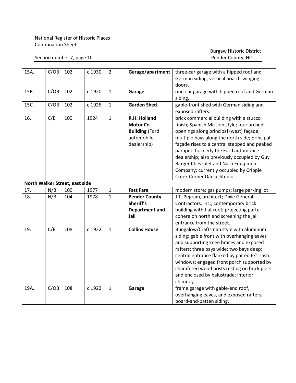#### Section number 7, page 10

| 15A. | C/OB | 102                            | c.1930 | $\overline{2}$ | Garage/apartment                                                                | three-car garage with a hipped roof and<br>German siding; vertical board swinging<br>doors.                                                                                                                                                                                                                                                                                                                                              |
|------|------|--------------------------------|--------|----------------|---------------------------------------------------------------------------------|------------------------------------------------------------------------------------------------------------------------------------------------------------------------------------------------------------------------------------------------------------------------------------------------------------------------------------------------------------------------------------------------------------------------------------------|
| 15B. | C/OB | 102                            | c.1920 | $\mathbf{1}$   | Garage                                                                          | one-car garage with hipped roof and German<br>siding.                                                                                                                                                                                                                                                                                                                                                                                    |
| 15C. | C/OB | 102                            | c.1925 | $\mathbf{1}$   | <b>Garden Shed</b>                                                              | gable-front shed with German siding and<br>exposed rafters.                                                                                                                                                                                                                                                                                                                                                                              |
| 16.  | C/B  | 100                            | 1924   | $\mathbf{1}$   | R.H. Holland<br>Motor Co.<br><b>Building (Ford</b><br>automobile<br>dealership) | brick commercial building with a stucco<br>finish; Spanish Mission style; four arched<br>openings along principal (west) façade;<br>multiple bays along the north side; principal<br>façade rises to a central stepped and peaked<br>parapet; formerly the Ford automobile<br>dealership; also previously occupied by Guy<br>Barger Chevrolet and Nash Equipment<br>Company; currently occupied by Cripple<br>Creek Corner Dance Studio. |
|      |      | North Walker Street, east side |        |                |                                                                                 |                                                                                                                                                                                                                                                                                                                                                                                                                                          |
| 17.  | N/B  | 100                            | 1977   | $\mathbf{1}$   | <b>Fast Fare</b>                                                                | modern store; gas pumps; large parking lot.                                                                                                                                                                                                                                                                                                                                                                                              |
| 18.  | N/B  | 104                            | 1978   | $\mathbf{1}$   | <b>Pender County</b><br>Sheriff's<br><b>Department and</b><br>Jail              | J.T. Pegram, architect; Dixie General<br>Contractors, Inc.; contemporary brick<br>building with flat roof; projecting parte-<br>cohere on north end screening the jail<br>entrance from the street.                                                                                                                                                                                                                                      |
| 19.  | C/B  | 108                            | c.1922 | $\mathbf{1}$   | <b>Collins House</b>                                                            | Bungalow/Craftsman style with aluminum<br>siding; gable front with overhanging eaves<br>and supporting knee braces and exposed<br>rafters; three bays wide; two bays deep;<br>central entrance flanked by paired 6/1 sash<br>windows; engaged front porch supported by<br>chamfered wood posts resting on brick piers<br>and enclosed by balustrade; interior<br>chimney.                                                                |
| 19A. | C/OB | 108                            | c.1922 | $\mathbf{1}$   | Garage                                                                          | frame garage with gable-end roof,<br>overhanging eaves, and exposed rafters;<br>board-and-batten siding.                                                                                                                                                                                                                                                                                                                                 |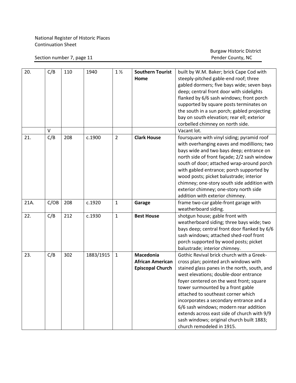Section number 7, page 11

| 20.  | C/B  | 110 | 1940      | $1\frac{1}{2}$ | <b>Southern Tourist</b> | built by W.M. Baker; brick Cape Cod with     |
|------|------|-----|-----------|----------------|-------------------------|----------------------------------------------|
|      |      |     |           |                | Home                    | steeply-pitched gable-end roof; three        |
|      |      |     |           |                |                         | gabled dormers; five bays wide; seven bays   |
|      |      |     |           |                |                         | deep; central front door with sidelights     |
|      |      |     |           |                |                         | flanked by 6/6 sash windows; front porch     |
|      |      |     |           |                |                         | supported by square posts terminates on      |
|      |      |     |           |                |                         | the south in a sun porch; gabled projecting  |
|      |      |     |           |                |                         | bay on south elevation; rear ell; exterior   |
|      |      |     |           |                |                         | corbelled chimney on north side.             |
|      | V    |     |           |                |                         | Vacant lot.                                  |
| 21.  | C/B  | 208 | c.1900    | $\overline{2}$ | <b>Clark House</b>      | foursquare with vinyl siding; pyramid roof   |
|      |      |     |           |                |                         | with overhanging eaves and modillions; two   |
|      |      |     |           |                |                         | bays wide and two bays deep; entrance on     |
|      |      |     |           |                |                         | north side of front façade; 2/2 sash window  |
|      |      |     |           |                |                         | south of door; attached wrap-around porch    |
|      |      |     |           |                |                         | with gabled entrance; porch supported by     |
|      |      |     |           |                |                         | wood posts; picket balustrade; interior      |
|      |      |     |           |                |                         | chimney; one-story south side addition with  |
|      |      |     |           |                |                         | exterior chimney; one-story north side       |
|      |      |     |           |                |                         | addition with exterior chimney.              |
| 21A. | C/OB | 208 | c.1920    | $\mathbf{1}$   | Garage                  | frame two-car gable-front garage with        |
|      |      |     |           |                |                         | weatherboard siding.                         |
| 22.  | C/B  | 212 | c.1930    | $\mathbf{1}$   | <b>Best House</b>       | shotgun house; gable front with              |
|      |      |     |           |                |                         | weatherboard siding; three bays wide; two    |
|      |      |     |           |                |                         | bays deep; central front door flanked by 6/6 |
|      |      |     |           |                |                         | sash windows; attached shed-roof front       |
|      |      |     |           |                |                         | porch supported by wood posts; picket        |
|      |      |     |           |                |                         | balustrade; interior chimney.                |
| 23.  | C/B  | 302 | 1883/1915 | $\mathbf{1}$   | Macedonia               | Gothic Revival brick church with a Greek-    |
|      |      |     |           |                | <b>African American</b> | cross plan; pointed arch windows with        |
|      |      |     |           |                | <b>Episcopal Church</b> | stained glass panes in the north, south, and |
|      |      |     |           |                |                         | west elevations; double-door entrance        |
|      |      |     |           |                |                         | foyer centered on the west front; square     |
|      |      |     |           |                |                         | tower surmounted by a front gable            |
|      |      |     |           |                |                         | attached to southeast corner which           |
|      |      |     |           |                |                         | incorporates a secondary entrance and a      |
|      |      |     |           |                |                         | 6/6 sash windows; modern rear addition       |
|      |      |     |           |                |                         | extends across east side of church with 9/9  |
|      |      |     |           |                |                         | sash windows; original church built 1883;    |
|      |      |     |           |                |                         | church remodeled in 1915.                    |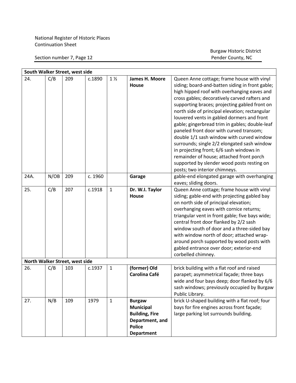Section number 7, Page 12

|      | South Walker Street, west side |                                |         |                |                                                                                                                     |                                                                                                                                                                                                                                                                                                                                                                                                                                                                                                                                                                                                                                                                                                                |  |  |  |  |
|------|--------------------------------|--------------------------------|---------|----------------|---------------------------------------------------------------------------------------------------------------------|----------------------------------------------------------------------------------------------------------------------------------------------------------------------------------------------------------------------------------------------------------------------------------------------------------------------------------------------------------------------------------------------------------------------------------------------------------------------------------------------------------------------------------------------------------------------------------------------------------------------------------------------------------------------------------------------------------------|--|--|--|--|
| 24.  | C/B                            | 209                            | c.1890  | 1 <sub>2</sub> | James H. Moore<br><b>House</b>                                                                                      | Queen Anne cottage; frame house with vinyl<br>siding; board-and-batten siding in front gable;<br>high hipped roof with overhanging eaves and<br>cross gables; decoratively carved rafters and<br>supporting braces; projecting gabled front on<br>north side of principal elevation; rectangular<br>louvered vents in gabled dormers and front<br>gable; gingerbread trim in gables; double-leaf<br>paneled front door with curved transom;<br>double 1/1 sash window with curved window<br>surrounds; single 2/2 elongated sash window<br>in projecting front; 6/6 sash windows in<br>remainder of house; attached front porch<br>supported by slender wood posts resting on<br>posts; two interior chimneys. |  |  |  |  |
| 24A. | N/OB                           | 209                            | c. 1960 |                | Garage                                                                                                              | gable-end elongated garage with overhanging<br>eaves; sliding doors.                                                                                                                                                                                                                                                                                                                                                                                                                                                                                                                                                                                                                                           |  |  |  |  |
| 25.  | C/B                            | 207                            | c.1918  | $\mathbf{1}$   | Dr. W.I. Taylor<br><b>House</b>                                                                                     | Queen Anne cottage; frame house with vinyl<br>siding; gable-end with projecting gabled bay<br>on north side of principal elevation;<br>overhanging eaves with cornice returns;<br>triangular vent in front gable; five bays wide;<br>central front door flanked by 2/2 sash<br>window south of door and a three-sided bay<br>with window north of door; attached wrap-<br>around porch supported by wood posts with<br>gabled entrance over door; exterior-end<br>corbelled chimney.                                                                                                                                                                                                                           |  |  |  |  |
|      |                                | North Walker Street, west side |         |                |                                                                                                                     |                                                                                                                                                                                                                                                                                                                                                                                                                                                                                                                                                                                                                                                                                                                |  |  |  |  |
| 26.  | C/B                            | 103                            | c.1937  | $\mathbf{1}$   | (former) Old<br><b>Carolina Café</b>                                                                                | brick building with a flat roof and raised<br>parapet; asymmetrical façade; three bays<br>wide and four bays deep; door flanked by 6/6<br>sash windows; previously occupied by Burgaw<br>Public Library.                                                                                                                                                                                                                                                                                                                                                                                                                                                                                                       |  |  |  |  |
| 27.  | N/B                            | 109                            | 1979    | $\mathbf{1}$   | <b>Burgaw</b><br><b>Municipal</b><br><b>Building, Fire</b><br>Department, and<br><b>Police</b><br><b>Department</b> | brick U-shaped building with a flat roof; four<br>bays for fire engines across front façade;<br>large parking lot surrounds building.                                                                                                                                                                                                                                                                                                                                                                                                                                                                                                                                                                          |  |  |  |  |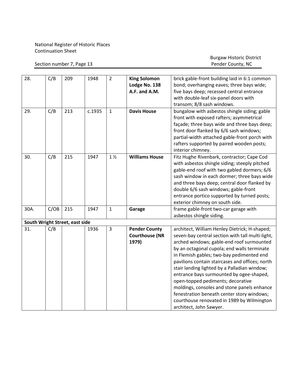Section number 7, Page 13

Burgaw Historic District

| 28.  |      | 209                            | 1948   | $\overline{2}$ |                       |                                                  |
|------|------|--------------------------------|--------|----------------|-----------------------|--------------------------------------------------|
|      | C/B  |                                |        |                | <b>King Solomon</b>   | brick gable-front building laid in 6:1 common    |
|      |      |                                |        |                | Lodge No. 138         | bond; overhanging eaves; three bays wide;        |
|      |      |                                |        |                | A.F. and A.M.         | five bays deep; recessed central entrance        |
|      |      |                                |        |                |                       | with double-leaf six-panel doors with            |
|      |      |                                |        |                |                       | transom; 8/8 sash windows.                       |
| 29.  | C/B  | 213                            | c.1935 | $\mathbf{1}$   | <b>Davis House</b>    | bungalow with asbestos shingle siding; gable     |
|      |      |                                |        |                |                       | front with exposed rafters; asymmetrical         |
|      |      |                                |        |                |                       | façade; three bays wide and three bays deep;     |
|      |      |                                |        |                |                       | front door flanked by 6/6 sash windows;          |
|      |      |                                |        |                |                       | partial-width attached gable-front porch with    |
|      |      |                                |        |                |                       | rafters supported by paired wooden posts;        |
|      |      |                                |        |                |                       | interior chimney.                                |
| 30.  | C/B  | 215                            | 1947   | $1\frac{1}{2}$ | <b>Williams House</b> | Fitz Hughe Rivenbark, contractor; Cape Cod       |
|      |      |                                |        |                |                       | with asbestos shingle siding; steeply pitched    |
|      |      |                                |        |                |                       | gable-end roof with two gabled dormers; 6/6      |
|      |      |                                |        |                |                       | sash window in each dormer; three bays wide      |
|      |      |                                |        |                |                       | and three bays deep; central door flanked by     |
|      |      |                                |        |                |                       | double 6/6 sash windows; gable-front             |
|      |      |                                |        |                |                       | entrance portico supported by turned posts;      |
|      |      |                                |        |                |                       | exterior chimney on south side.                  |
| 30A. | C/OB | 215                            | 1947   | $\mathbf{1}$   | Garage                | frame gable-front two-car garage with            |
|      |      |                                |        |                |                       | asbestos shingle siding.                         |
|      |      | South Wright Street, east side |        |                |                       |                                                  |
| 31.  | C/B  |                                | 1936   | $\overline{3}$ | <b>Pender County</b>  | architect, William Henley Dietrick; H-shaped;    |
|      |      |                                |        |                | <b>Courthouse (NR</b> | seven-bay central section with tall multi-light, |
|      |      |                                |        |                | 1979)                 | arched windows; gable-end roof surmounted        |
|      |      |                                |        |                |                       | by an octagonal cupola; end walls terminate      |
|      |      |                                |        |                |                       | in Flemish gables; two-bay pedimented end        |
|      |      |                                |        |                |                       | pavilions contain staircases and offices; north  |
|      |      |                                |        |                |                       | stair landing lighted by a Palladian window;     |
|      |      |                                |        |                |                       | entrance bays surmounted by ogee-shaped,         |
|      |      |                                |        |                |                       | open-topped pediments; decorative                |
|      |      |                                |        |                |                       | moldings, consoles and stone panels enhance      |
|      |      |                                |        |                |                       | fenestration beneath center story windows;       |
|      |      |                                |        |                |                       | courthouse renovated in 1989 by Wilmington       |
|      |      |                                |        |                |                       | architect, John Sawyer.                          |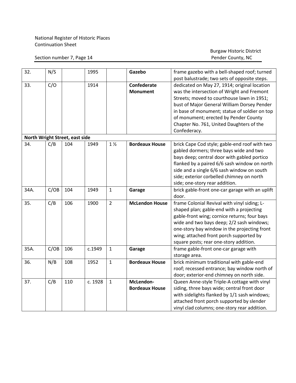#### Section number 7, Page 14

| 32.                            | N/S  |     | 1995    |                | Gazebo                | frame gazebo with a bell-shaped roof; turned    |  |  |  |  |
|--------------------------------|------|-----|---------|----------------|-----------------------|-------------------------------------------------|--|--|--|--|
|                                |      |     |         |                |                       | post balustrade; two sets of opposite steps.    |  |  |  |  |
| 33.                            | C/O  |     | 1914    |                | Confederate           | dedicated on May 27, 1914; original location    |  |  |  |  |
|                                |      |     |         |                | <b>Monument</b>       | was the intersection of Wright and Fremont      |  |  |  |  |
|                                |      |     |         |                |                       | Streets; moved to courthouse lawn in 1951;      |  |  |  |  |
|                                |      |     |         |                |                       | bust of Major General William Dorsey Pender     |  |  |  |  |
|                                |      |     |         |                |                       | in base of monument; statue of soldier on top   |  |  |  |  |
|                                |      |     |         |                |                       | of monument; erected by Pender County           |  |  |  |  |
|                                |      |     |         |                |                       | Chapter No. 761, United Daughters of the        |  |  |  |  |
|                                |      |     |         |                |                       | Confederacy.                                    |  |  |  |  |
| North Wright Street, east side |      |     |         |                |                       |                                                 |  |  |  |  |
| 34.                            | C/B  | 104 | 1949    | $1\frac{1}{2}$ | <b>Bordeaux House</b> | brick Cape Cod style; gable-end roof with two   |  |  |  |  |
|                                |      |     |         |                |                       | gabled dormers; three bays wide and two         |  |  |  |  |
|                                |      |     |         |                |                       | bays deep; central door with gabled portico     |  |  |  |  |
|                                |      |     |         |                |                       | flanked by a paired 6/6 sash window on north    |  |  |  |  |
|                                |      |     |         |                |                       | side and a single 6/6 sash window on south      |  |  |  |  |
|                                |      |     |         |                |                       | side; exterior corbelled chimney on north       |  |  |  |  |
|                                |      |     |         |                |                       | side; one-story rear addition.                  |  |  |  |  |
| 34A.                           | C/OB | 104 | 1949    | $\mathbf{1}$   | Garage                | brick gable-front one-car garage with an uplift |  |  |  |  |
|                                |      |     |         |                |                       | door.                                           |  |  |  |  |
| 35.                            | C/B  | 106 | 1900    | $\overline{2}$ | <b>McLendon House</b> | frame Colonial Revival with vinyl siding; L-    |  |  |  |  |
|                                |      |     |         |                |                       | shaped plan; gable-end with a projecting        |  |  |  |  |
|                                |      |     |         |                |                       | gable-front wing; cornice returns; four bays    |  |  |  |  |
|                                |      |     |         |                |                       | wide and two bays deep; 2/2 sash windows;       |  |  |  |  |
|                                |      |     |         |                |                       | one-story bay window in the projecting front    |  |  |  |  |
|                                |      |     |         |                |                       | wing; attached front porch supported by         |  |  |  |  |
|                                |      |     |         |                |                       | square posts; rear one-story addition.          |  |  |  |  |
| 35A.                           | C/OB | 106 | c.1949  | $\mathbf{1}$   | Garage                | frame gable-front one-car garage with           |  |  |  |  |
|                                |      |     |         |                |                       | storage area.                                   |  |  |  |  |
| 36.                            | N/B  | 108 | 1952    | $\mathbf{1}$   | <b>Bordeaux House</b> | brick minimum traditional with gable-end        |  |  |  |  |
|                                |      |     |         |                |                       | roof; recessed entrance; bay window north of    |  |  |  |  |
|                                |      |     |         |                |                       | door; exterior-end chimney on north side.       |  |  |  |  |
| 37.                            | C/B  | 110 | c. 1928 | $\mathbf{1}$   | McLendon-             | Queen Anne-style Triple-A cottage with vinyl    |  |  |  |  |
|                                |      |     |         |                | <b>Bordeaux House</b> | siding, three bays wide; central front door     |  |  |  |  |
|                                |      |     |         |                |                       | with sidelights flanked by 1/1 sash windows;    |  |  |  |  |
|                                |      |     |         |                |                       | attached front porch supported by slender       |  |  |  |  |
|                                |      |     |         |                |                       | vinyl clad columns; one-story rear addition.    |  |  |  |  |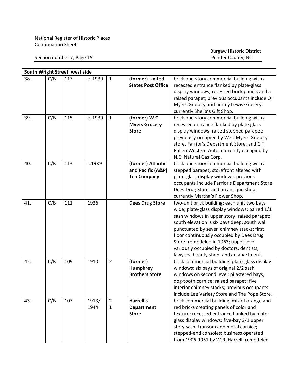Section number 7, Page 15

| South Wright Street, west side |     |     |         |                |                           |                                                |  |  |  |
|--------------------------------|-----|-----|---------|----------------|---------------------------|------------------------------------------------|--|--|--|
| 38.                            | C/B | 117 | c. 1939 | $\mathbf{1}$   | (former) United           | brick one-story commercial building with a     |  |  |  |
|                                |     |     |         |                | <b>States Post Office</b> | recessed entrance flanked by plate-glass       |  |  |  |
|                                |     |     |         |                |                           | display windows; recessed brick panels and a   |  |  |  |
|                                |     |     |         |                |                           | raised parapet; previous occupants include QI  |  |  |  |
|                                |     |     |         |                |                           | Myers Grocery and Jimmy Lewis Grocery;         |  |  |  |
|                                |     |     |         |                |                           | currently Sheila's Gift Shop.                  |  |  |  |
| 39.                            | C/B | 115 | c. 1939 | $\mathbf{1}$   | (former) W.C.             | brick one-story commercial building with a     |  |  |  |
|                                |     |     |         |                | <b>Myers Grocery</b>      | recessed entrance flanked by plate glass       |  |  |  |
|                                |     |     |         |                | <b>Store</b>              | display windows; raised stepped parapet;       |  |  |  |
|                                |     |     |         |                |                           | previously occupied by W.C. Myers Grocery      |  |  |  |
|                                |     |     |         |                |                           | store, Farrior's Department Store, and C.T.    |  |  |  |
|                                |     |     |         |                |                           | Pullen Western Auto; currently occupied by     |  |  |  |
|                                |     |     |         |                |                           | N.C. Natural Gas Corp.                         |  |  |  |
| 40.                            | C/B | 113 | c.1939  |                | (former) Atlantic         | brick one-story commercial building with a     |  |  |  |
|                                |     |     |         |                | and Pacific (A&P)         | stepped parapet; storefront altered with       |  |  |  |
|                                |     |     |         |                | <b>Tea Company</b>        | plate-glass display windows; previous          |  |  |  |
|                                |     |     |         |                |                           | occupants include Farrior's Department Store,  |  |  |  |
|                                |     |     |         |                |                           | Dees Drug Store, and an antique shop;          |  |  |  |
|                                |     |     |         |                |                           | currently Martha's Flower Shop.                |  |  |  |
| 41.                            | C/B | 111 | 1936    |                | <b>Dees Drug Store</b>    | two-unit brick building; each unit two bays    |  |  |  |
|                                |     |     |         |                |                           | wide; plate-glass display windows; paired 1/1  |  |  |  |
|                                |     |     |         |                |                           | sash windows in upper story; raised parapet;   |  |  |  |
|                                |     |     |         |                |                           | south elevation is six bays deep; south wall   |  |  |  |
|                                |     |     |         |                |                           | punctuated by seven chimney stacks; first      |  |  |  |
|                                |     |     |         |                |                           | floor continuously occupied by Dees Drug       |  |  |  |
|                                |     |     |         |                |                           | Store; remodeled in 1963; upper level          |  |  |  |
|                                |     |     |         |                |                           | variously occupied by doctors, dentists,       |  |  |  |
|                                |     |     |         |                |                           | lawyers, beauty shop, and an apartment.        |  |  |  |
| 42.                            | C/B | 109 | 1910    | $\overline{2}$ | (former)                  | brick commercial building; plate-glass display |  |  |  |
|                                |     |     |         |                | <b>Humphrey</b>           | windows; six bays of original 2/2 sash         |  |  |  |
|                                |     |     |         |                | <b>Brothers Store</b>     | windows on second level; pilastered bays,      |  |  |  |
|                                |     |     |         |                |                           | dog-tooth cornice; raised parapet; five        |  |  |  |
|                                |     |     |         |                |                           | interior chimney stacks; previous occupants    |  |  |  |
|                                |     |     |         |                |                           | include Lee Variety Store and The Pope Store.  |  |  |  |
| 43.                            | C/B | 107 | 1913/   | $\overline{2}$ | Harrell's                 | brick commercial building; mix of orange and   |  |  |  |
|                                |     |     | 1944    | $\mathbf{1}$   | <b>Department</b>         | red bricks creating panels of color and        |  |  |  |
|                                |     |     |         |                | <b>Store</b>              | texture; recessed entrance flanked by plate-   |  |  |  |
|                                |     |     |         |                |                           | glass display windows; five-bay 3/1 upper      |  |  |  |
|                                |     |     |         |                |                           | story sash; transom and metal cornice;         |  |  |  |
|                                |     |     |         |                |                           | stepped-end consoles; business operated        |  |  |  |
|                                |     |     |         |                |                           | from 1906-1951 by W.R. Harrell; remodeled      |  |  |  |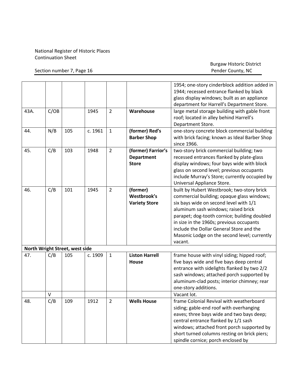Section number 7, Page 16

|      |        |                                |         |                |                                                         | 1954; one-story cinderblock addition added in<br>1944; recessed entrance flanked by black<br>glass display windows; built as an appliance<br>department for Harrell's Department Store.                                                                                                                                                                                      |
|------|--------|--------------------------------|---------|----------------|---------------------------------------------------------|------------------------------------------------------------------------------------------------------------------------------------------------------------------------------------------------------------------------------------------------------------------------------------------------------------------------------------------------------------------------------|
| 43A. | C/OB   |                                | 1945    | $\overline{2}$ | Warehouse                                               | large metal storage building with gable front<br>roof; located in alley behind Harrell's<br>Department Store.                                                                                                                                                                                                                                                                |
| 44.  | N/B    | 105                            | c. 1961 | $\mathbf{1}$   | (former) Red's<br><b>Barber Shop</b>                    | one-story concrete block commercial building<br>with brick facing; known as Ideal Barber Shop<br>since 1966.                                                                                                                                                                                                                                                                 |
| 45.  | C/B    | 103                            | 1948    | $\overline{2}$ | (former) Farrior's<br><b>Department</b><br><b>Store</b> | two-story brick commercial building; two<br>recessed entrances flanked by plate-glass<br>display windows; four bays wide with block<br>glass on second level; previous occupants<br>include Murray's Store; currently occupied by<br>Universal Appliance Store.                                                                                                              |
| 46.  | C/B    | 101                            | 1945    | $\overline{2}$ | (former)<br>Westbrook's<br><b>Variety Store</b>         | built by Hubert Westbrook; two-story brick<br>commercial building; opaque glass windows;<br>six bays wide on second level with 1/1<br>aluminum sash windows; raised brick<br>parapet; dog-tooth cornice; building doubled<br>in size in the 1960s; previous occupants<br>include the Dollar General Store and the<br>Masonic Lodge on the second level; currently<br>vacant. |
|      |        | North Wright Street, west side |         |                |                                                         |                                                                                                                                                                                                                                                                                                                                                                              |
| 47.  | C/B    | 105                            | c. 1909 | $\mathbf{1}$   | <b>Liston Harrell</b><br>House                          | frame house with vinyl siding; hipped roof;<br>five bays wide and five bays deep central<br>entrance with sidelights flanked by two 2/2<br>sash windows; attached porch supported by<br>aluminum-clad posts; interior chimney; rear<br>one-story additions.                                                                                                                  |
|      | $\vee$ |                                |         |                |                                                         | Vacant lot.                                                                                                                                                                                                                                                                                                                                                                  |
| 48.  | C/B    | 109                            | 1912    | $\overline{2}$ | <b>Wells House</b>                                      | frame Colonial Revival with weatherboard<br>siding; gable-end roof with overhanging<br>eaves; three bays wide and two bays deep;<br>central entrance flanked by 1/1 sash<br>windows; attached front porch supported by<br>short turned columns resting on brick piers;<br>spindle cornice; porch enclosed by                                                                 |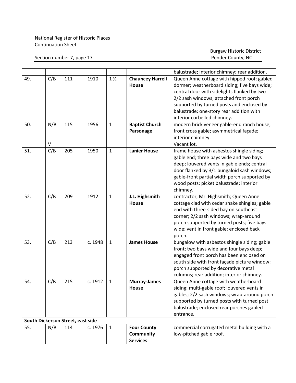Section number 7, page 17

|     |     |                                   |         |                |                                         | balustrade; interior chimney; rear addition.                                                                                               |
|-----|-----|-----------------------------------|---------|----------------|-----------------------------------------|--------------------------------------------------------------------------------------------------------------------------------------------|
| 49. | C/B | 111                               | 1910    | $1\frac{1}{2}$ | <b>Chauncey Harrell</b><br><b>House</b> | Queen Anne cottage with hipped roof; gabled<br>dormer; weatherboard siding; five bays wide;<br>central door with sidelights flanked by two |
|     |     |                                   |         |                |                                         | 2/2 sash windows; attached front porch                                                                                                     |
|     |     |                                   |         |                |                                         | supported by turned posts and enclosed by                                                                                                  |
|     |     |                                   |         |                |                                         | balustrade; one-story rear addition with                                                                                                   |
|     |     |                                   |         |                |                                         | interior corbelled chimney.                                                                                                                |
| 50. | N/B | 115                               | 1956    | $\mathbf{1}$   | <b>Baptist Church</b>                   | modern brick veneer gable-end ranch house;                                                                                                 |
|     |     |                                   |         |                | Parsonage                               | front cross gable; asymmetrical façade;                                                                                                    |
|     |     |                                   |         |                |                                         | interior chimney.                                                                                                                          |
|     | V   |                                   |         |                |                                         | Vacant lot.                                                                                                                                |
| 51. | C/B | 205                               | 1950    | $\mathbf{1}$   | <b>Lanier House</b>                     | frame house with asbestos shingle siding;                                                                                                  |
|     |     |                                   |         |                |                                         | gable end; three bays wide and two bays                                                                                                    |
|     |     |                                   |         |                |                                         | deep; louvered vents in gable ends; central                                                                                                |
|     |     |                                   |         |                |                                         | door flanked by 3/1 bungaloid sash windows;                                                                                                |
|     |     |                                   |         |                |                                         | gable-front partial width porch supported by                                                                                               |
|     |     |                                   |         |                |                                         | wood posts; picket balustrade; interior                                                                                                    |
|     |     |                                   |         |                |                                         | chimney.                                                                                                                                   |
| 52. | C/B | 209                               | 1912    | $\mathbf{1}$   | J.L. Highsmith                          | contractor, Mr. Highsmith; Queen Anne                                                                                                      |
|     |     |                                   |         |                | House                                   | cottage clad with cedar shake shingles; gable                                                                                              |
|     |     |                                   |         |                |                                         | end with three-sided bay on southeast                                                                                                      |
|     |     |                                   |         |                |                                         | corner; 2/2 sash windows; wrap-around                                                                                                      |
|     |     |                                   |         |                |                                         | porch supported by turned posts; five bays                                                                                                 |
|     |     |                                   |         |                |                                         | wide; vent in front gable; enclosed back                                                                                                   |
|     |     |                                   |         |                |                                         | porch.                                                                                                                                     |
| 53. | C/B | 213                               | c. 1948 | $\mathbf{1}$   | <b>James House</b>                      | bungalow with asbestos shingle siding; gable                                                                                               |
|     |     |                                   |         |                |                                         | front; two bays wide and four bays deep;                                                                                                   |
|     |     |                                   |         |                |                                         | engaged front porch has been enclosed on                                                                                                   |
|     |     |                                   |         |                |                                         | south side with front façade picture window;                                                                                               |
|     |     |                                   |         |                |                                         | porch supported by decorative metal                                                                                                        |
|     |     |                                   |         |                |                                         | columns; rear addition; interior chimney.                                                                                                  |
| 54. | C/B | 215                               | c. 1912 | $\mathbf{1}$   | <b>Murray-James</b>                     | Queen Anne cottage with weatherboard                                                                                                       |
|     |     |                                   |         |                | <b>House</b>                            | siding; multi-gable roof; louvered vents in                                                                                                |
|     |     |                                   |         |                |                                         | gables; 2/2 sash windows; wrap-around porch                                                                                                |
|     |     |                                   |         |                |                                         | supported by turned posts with turned post                                                                                                 |
|     |     |                                   |         |                |                                         | balustrade; enclosed rear porches gabled                                                                                                   |
|     |     |                                   |         |                |                                         | entrance.                                                                                                                                  |
|     |     | South Dickerson Street, east side |         |                |                                         |                                                                                                                                            |
| 55. | N/B | 114                               | c. 1976 | $\mathbf{1}$   | <b>Four County</b>                      | commercial corrugated metal building with a                                                                                                |
|     |     |                                   |         |                | Community                               | low-pitched gable roof.                                                                                                                    |
|     |     |                                   |         |                | <b>Services</b>                         |                                                                                                                                            |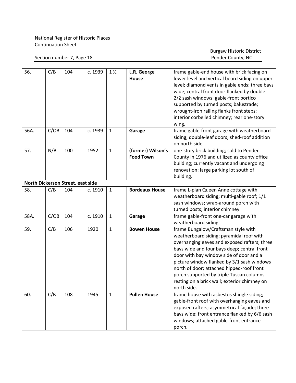Section number 7, Page 18

| 56.  | C/B  | 104                               | c. 1939 | $1\frac{1}{2}$ | L.R. George<br><b>House</b>           | frame gable-end house with brick facing on<br>lower level and vertical board siding on upper<br>level; diamond vents in gable ends; three bays<br>wide; central front door flanked by double<br>2/2 sash windows; gable-front portico<br>supported by turned posts; balustrade;<br>wrought-iron railing flanks front steps;<br>interior corbelled chimney; rear one-story<br>wing.                                              |
|------|------|-----------------------------------|---------|----------------|---------------------------------------|---------------------------------------------------------------------------------------------------------------------------------------------------------------------------------------------------------------------------------------------------------------------------------------------------------------------------------------------------------------------------------------------------------------------------------|
| 56A. | C/OB | 104                               | c. 1939 | $\mathbf{1}$   | Garage                                | frame gable-front garage with weatherboard<br>siding; double-leaf doors; shed-roof addition<br>on north side.                                                                                                                                                                                                                                                                                                                   |
| 57.  | N/B  | 100                               | 1952    | $\mathbf{1}$   | (former) Wilson's<br><b>Food Town</b> | one-story brick building; sold to Pender<br>County in 1976 and utilized as county office<br>building; currently vacant and undergoing<br>renovation; large parking lot south of<br>building.                                                                                                                                                                                                                                    |
|      |      | North Dickerson Street, east side |         |                |                                       |                                                                                                                                                                                                                                                                                                                                                                                                                                 |
| 58.  | C/B  | 104                               | c. 1910 | $\mathbf{1}$   | <b>Bordeaux House</b>                 | frame L-plan Queen Anne cottage with<br>weatherboard siding; multi-gable roof; 1/1<br>sash windows; wrap-around porch with<br>turned posts; interior chimney.                                                                                                                                                                                                                                                                   |
| 58A. | C/OB | 104                               | c. 1910 | $\mathbf{1}$   | Garage                                | frame gable-front one-car garage with<br>weatherboard siding                                                                                                                                                                                                                                                                                                                                                                    |
| 59.  | C/B  | 106                               | 1920    | $\mathbf{1}$   | <b>Bowen House</b>                    | frame Bungalow/Craftsman style with<br>weatherboard siding; pyramidal roof with<br>overhanging eaves and exposed rafters; three<br>bays wide and four bays deep; central front<br>door with bay window side of door and a<br>picture window flanked by 3/1 sash windows<br>north of door; attached hipped-roof front<br>porch supported by triple Tuscan columns<br>resting on a brick wall; exterior chimney on<br>north side. |
| 60.  | C/B  | 108                               | 1945    | $\mathbf{1}$   | <b>Pullen House</b>                   | frame house with asbestos shingle siding;<br>gable-front roof with overhanging eaves and<br>exposed rafters; asymmetrical façade; three<br>bays wide; front entrance flanked by 6/6 sash<br>windows; attached gable-front entrance<br>porch.                                                                                                                                                                                    |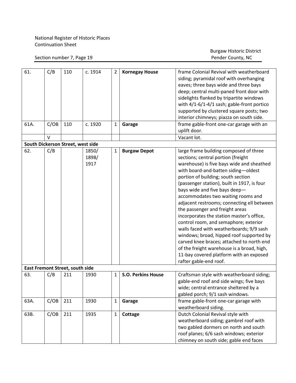#### Section number 7, Page 19

| 61.  | C/B    | 110                               | c. 1914 | 2            | <b>Kornegay House</b>     | frame Colonial Revival with weatherboard    |
|------|--------|-----------------------------------|---------|--------------|---------------------------|---------------------------------------------|
|      |        |                                   |         |              |                           |                                             |
|      |        |                                   |         |              |                           | siding; pyramidal roof with overhanging     |
|      |        |                                   |         |              |                           | eaves; three bays wide and three bays       |
|      |        |                                   |         |              |                           | deep; central multi-paned front door with   |
|      |        |                                   |         |              |                           | sidelights flanked by tripartite windows    |
|      |        |                                   |         |              |                           | with 4/1-6/1-4/1 sash; gable-front portico  |
|      |        |                                   |         |              |                           | supported by clustered square posts; two    |
|      |        |                                   |         |              |                           | interior chimneys; piazza on south side.    |
| 61A. | C/OB   | 110                               | c. 1920 | $\mathbf{1}$ | Garage                    | frame gable-front one-car garage with an    |
|      |        |                                   |         |              |                           | uplift door.                                |
|      | $\vee$ |                                   |         |              |                           | Vacant lot.                                 |
|      |        | South Dickerson Street, west side |         |              |                           |                                             |
| 62.  | C/B    |                                   | 1850/   | 1            | <b>Burgaw Depot</b>       | large frame building composed of three      |
|      |        |                                   | 1898/   |              |                           | sections; central portion (freight          |
|      |        |                                   | 1917    |              |                           | warehouse) is five bays wide and sheathed   |
|      |        |                                   |         |              |                           | with board-and-batten siding-oldest         |
|      |        |                                   |         |              |                           | portion of building; south section          |
|      |        |                                   |         |              |                           | (passenger station), built in 1917, is four |
|      |        |                                   |         |              |                           | bays wide and five bays deep-               |
|      |        |                                   |         |              |                           | accommodates two waiting rooms and          |
|      |        |                                   |         |              |                           | adjacent restrooms; connecting ell between  |
|      |        |                                   |         |              |                           |                                             |
|      |        |                                   |         |              |                           | the passenger and freight areas             |
|      |        |                                   |         |              |                           | incorporates the station master's office,   |
|      |        |                                   |         |              |                           | control room, and semaphore; exterior       |
|      |        |                                   |         |              |                           | walls faced with weatherboards; 9/9 sash    |
|      |        |                                   |         |              |                           | windows; broad, hipped roof supported by    |
|      |        |                                   |         |              |                           | carved knee braces; attached to north end   |
|      |        |                                   |         |              |                           | of the freight warehouse is a broad, high,  |
|      |        |                                   |         |              |                           | 11-bay covered platform with an exposed     |
|      |        |                                   |         |              |                           | rafter gable-end roof.                      |
|      |        | East Fremont Street, south side   |         |              |                           |                                             |
| 63.  | C/B    | 211                               | 1930    | 1            | <b>S.O. Perkins House</b> | Craftsman style with weatherboard siding;   |
|      |        |                                   |         |              |                           | gable-end roof and side wings; five bays    |
|      |        |                                   |         |              |                           | wide; central entrance sheltered by a       |
|      |        |                                   |         |              |                           | gabled porch; 9/1 sash windows.             |
| 63A. | C/OB   | 211                               | 1930    | $\mathbf{1}$ | Garage                    | frame gable-front one-car garage with       |
|      |        |                                   |         |              |                           | weatherboard siding.                        |
| 63B. | C/OB   | 211                               | 1935    | 1            | Cottage                   | Dutch Colonial Revival style with           |
|      |        |                                   |         |              |                           | weatherboard siding; gambrel roof with      |
|      |        |                                   |         |              |                           | two gabled dormers on north and south       |
|      |        |                                   |         |              |                           | roof planes; 6/6 sash windows; exterior     |
|      |        |                                   |         |              |                           | chimney on south side; gable end faces      |
|      |        |                                   |         |              |                           |                                             |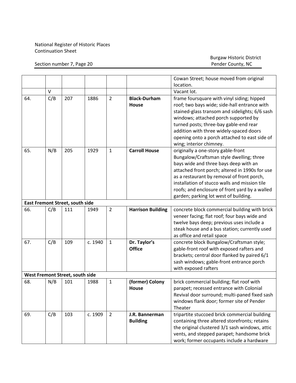Section number 7, Page 20

|                                 |     |                                 |         |                |                          | Cowan Street; house moved from original        |  |  |
|---------------------------------|-----|---------------------------------|---------|----------------|--------------------------|------------------------------------------------|--|--|
|                                 |     |                                 |         |                |                          | location.                                      |  |  |
|                                 | V   |                                 |         |                |                          | Vacant lot.                                    |  |  |
| 64.                             | C/B | 207                             | 1886    | $\overline{2}$ | <b>Black-Durham</b>      | frame foursquare with vinyl siding; hipped     |  |  |
|                                 |     |                                 |         |                | House                    | roof; two bays wide; side-hall entrance with   |  |  |
|                                 |     |                                 |         |                |                          | stained-glass transom and sidelights; 6/6 sash |  |  |
|                                 |     |                                 |         |                |                          | windows; attached porch supported by           |  |  |
|                                 |     |                                 |         |                |                          | turned posts; three-bay gable-end rear         |  |  |
|                                 |     |                                 |         |                |                          | addition with three widely-spaced doors        |  |  |
|                                 |     |                                 |         |                |                          | opening onto a porch attached to east side of  |  |  |
|                                 |     |                                 |         |                |                          | wing; interior chimney.                        |  |  |
| 65.                             | N/B | 205                             | 1929    | $\mathbf{1}$   | <b>Carroll House</b>     | originally a one-story gable-front             |  |  |
|                                 |     |                                 |         |                |                          | Bungalow/Craftsman style dwelling; three       |  |  |
|                                 |     |                                 |         |                |                          | bays wide and three bays deep with an          |  |  |
|                                 |     |                                 |         |                |                          | attached front porch; altered in 1990s for use |  |  |
|                                 |     |                                 |         |                |                          | as a restaurant by removal of front porch,     |  |  |
|                                 |     |                                 |         |                |                          | installation of stucco walls and mission tile  |  |  |
|                                 |     |                                 |         |                |                          | roofs; and enclosure of front yard by a walled |  |  |
|                                 |     |                                 |         |                |                          | garden; parking lot west of building.          |  |  |
| East Fremont Street, south side |     |                                 |         |                |                          |                                                |  |  |
| 66.                             | C/B | 111                             | 1949    | $\overline{2}$ | <b>Harrison Building</b> | concrete block commercial building with brick  |  |  |
|                                 |     |                                 |         |                |                          | veneer facing; flat roof; four bays wide and   |  |  |
|                                 |     |                                 |         |                |                          | twelve bays deep; previous uses include a      |  |  |
|                                 |     |                                 |         |                |                          | steak house and a bus station; currently used  |  |  |
|                                 |     |                                 |         |                |                          | as office and retail space                     |  |  |
| 67.                             | C/B | 109                             | c. 1940 | $\mathbf{1}$   | Dr. Taylor's             | concrete block Bungalow/Craftsman style;       |  |  |
|                                 |     |                                 |         |                | <b>Office</b>            | gable-front roof with exposed rafters and      |  |  |
|                                 |     |                                 |         |                |                          | brackets; central door flanked by paired 6/1   |  |  |
|                                 |     |                                 |         |                |                          | sash windows; gable-front entrance porch       |  |  |
|                                 |     |                                 |         |                |                          | with exposed rafters                           |  |  |
|                                 |     | West Fremont Street, south side |         |                |                          |                                                |  |  |
| 68.                             | N/B | 101                             | 1988    | $\mathbf{1}$   | (former) Colony          | brick commercial building; flat roof with      |  |  |
|                                 |     |                                 |         |                | House                    | parapet; recessed entrance with Colonial       |  |  |
|                                 |     |                                 |         |                |                          | Revival door surround; multi-paned fixed sash  |  |  |
|                                 |     |                                 |         |                |                          | windows flank door; former site of Pender      |  |  |
|                                 |     |                                 |         |                |                          | Theater                                        |  |  |
| 69.                             | C/B | 103                             | c. 1909 | $\overline{2}$ | J.R. Bannerman           | tripartite stuccoed brick commercial building  |  |  |
|                                 |     |                                 |         |                | <b>Building</b>          | containing three altered storefronts; retains  |  |  |
|                                 |     |                                 |         |                |                          | the original clustered 3/1 sash windows, attic |  |  |
|                                 |     |                                 |         |                |                          | vents, and stepped parapet; handsome brick     |  |  |
|                                 |     |                                 |         |                |                          | work; former occupants include a hardware      |  |  |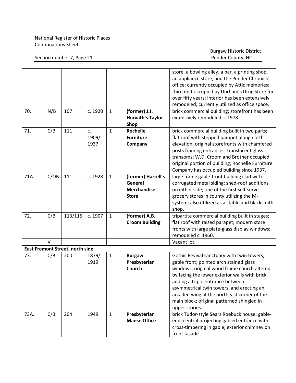|      |        |                                        |                     |              |                                                                     | store, a bowling alley, a bar, a printing shop,<br>an appliance store, and the Pender Chronicle<br>office; currently occupied by Attic memories;<br>third unit occupied by Durham's Drug Store for                                                                                                                                                                                     |
|------|--------|----------------------------------------|---------------------|--------------|---------------------------------------------------------------------|----------------------------------------------------------------------------------------------------------------------------------------------------------------------------------------------------------------------------------------------------------------------------------------------------------------------------------------------------------------------------------------|
|      |        |                                        |                     |              |                                                                     | over fifty years; interior has been extensively<br>remodeled; currently utilized as office space.                                                                                                                                                                                                                                                                                      |
| 70.  | N/B    | 107                                    | c. 1920             | $\mathbf{1}$ | (former) J.J.<br><b>Horvath's Taylor</b><br>Shop                    | brick commercial building; storefront has been<br>extensively remodeled c. 1978.                                                                                                                                                                                                                                                                                                       |
| 71.  | C/B    | 111                                    | c.<br>1909/<br>1937 | $\mathbf{1}$ | <b>Rochelle</b><br><b>Furniture</b><br>Company                      | brick commercial building built in two parts;<br>flat roof with stepped parapet along north<br>elevation; original storefronts with chamfered<br>posts framing entrances; translucent glass<br>transoms; W.D. Croom and Brother occupied<br>original portion of building; Rochelle Furniture<br>Company has occupied building since 1937.                                              |
| 71A. | C/OB   | 111                                    | c. 1928             | $\mathbf{1}$ | (former) Harrell's<br>General<br><b>Merchandise</b><br><b>Store</b> | large frame gable-front building clad with<br>corrugated metal siding; shed-roof additions<br>on either side; one of the first self-serve<br>grocery stores in county utilizing the M-<br>system; also utilized as a stable and blacksmith<br>shop.                                                                                                                                    |
| 72.  | C/B    | 113/115                                | c. 1907             | $\mathbf{1}$ | (former) A.B.<br><b>Croom Building</b>                              | tripartite commercial building built in stages;<br>flat roof with raised parapet; modern store<br>fronts with large plate-glass display windows;<br>remodeled c. 1960.                                                                                                                                                                                                                 |
|      | $\vee$ |                                        |                     |              |                                                                     | Vacant lot.                                                                                                                                                                                                                                                                                                                                                                            |
|      |        | <b>East Fremont Street, north side</b> |                     |              |                                                                     |                                                                                                                                                                                                                                                                                                                                                                                        |
| 73.  | C/B    | 200                                    | 1879/<br>1919       | $\mathbf{1}$ | <b>Burgaw</b><br>Presbyterian<br><b>Church</b>                      | Gothic Revival sanctuary with twin towers;<br>gable front; pointed arch stained glass<br>windows; original wood frame church altered<br>by facing the lower exterior walls with brick,<br>adding a triple entrance between<br>asymmetrical twin towers, and erecting an<br>arcaded wing at the northeast corner of the<br>main block; original patterned shingled in<br>upper stories. |
| 73A. | C/B    | 204                                    | 1949                | $\mathbf{1}$ | Presbyterian<br><b>Manse Office</b>                                 | brick Tudor-style Sears Roebuck house; gable-<br>end; central projecting gabled entrance with<br>cross-timbering in gable; exterior chimney on<br>front façade                                                                                                                                                                                                                         |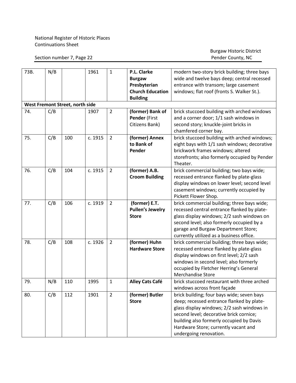| 73B. | N/B | West Fremont Street, north side | 1961    | $\mathbf{1}$   | P.L. Clarke<br><b>Burgaw</b><br>Presbyterian<br><b>Church Education</b><br><b>Building</b> | modern two-story brick building; three bays<br>wide and twelve bays deep; central recessed<br>entrance with transom; large casement<br>windows; flat roof (fronts S. Walker St.). |
|------|-----|---------------------------------|---------|----------------|--------------------------------------------------------------------------------------------|-----------------------------------------------------------------------------------------------------------------------------------------------------------------------------------|
| 74.  | C/B |                                 | 1907    | $\overline{2}$ |                                                                                            |                                                                                                                                                                                   |
|      |     |                                 |         |                | (former) Bank of<br>Pender (First                                                          | brick stuccoed building with arched windows                                                                                                                                       |
|      |     |                                 |         |                |                                                                                            | and a corner door; 1/1 sash windows in                                                                                                                                            |
|      |     |                                 |         |                | Citizens Bank)                                                                             | second story; knuckle-joint bricks in                                                                                                                                             |
| 75.  | C/B | 100                             | c. 1915 | $\overline{2}$ |                                                                                            | chamfered corner bay.<br>brick stuccoed building with arched windows;                                                                                                             |
|      |     |                                 |         |                | (former) Annex<br>to Bank of                                                               |                                                                                                                                                                                   |
|      |     |                                 |         |                | Pender                                                                                     | eight bays with 1/1 sash windows; decorative                                                                                                                                      |
|      |     |                                 |         |                |                                                                                            | brickwork frames windows; altered                                                                                                                                                 |
|      |     |                                 |         |                |                                                                                            | storefronts; also formerly occupied by Pender                                                                                                                                     |
| 76.  | C/B | 104                             | c. 1915 | $\overline{2}$ | (former) A.B.                                                                              | Theater.                                                                                                                                                                          |
|      |     |                                 |         |                |                                                                                            | brick commercial building; two bays wide;                                                                                                                                         |
|      |     |                                 |         |                | <b>Croom Building</b>                                                                      | recessed entrance flanked by plate-glass<br>display windows on lower level; second level                                                                                          |
|      |     |                                 |         |                |                                                                                            | casement windows; currently occupied by                                                                                                                                           |
|      |     |                                 |         |                |                                                                                            | Pickett Flower Shop.                                                                                                                                                              |
| 77.  | C/B | 106                             | c. 1919 | $\overline{2}$ | (former) E.T.                                                                              | brick commercial building; three bays wide;                                                                                                                                       |
|      |     |                                 |         |                | <b>Pullen's Jewelry</b>                                                                    | recessed central entrance flanked by plate-                                                                                                                                       |
|      |     |                                 |         |                | <b>Store</b>                                                                               | glass display windows; 2/2 sash windows on                                                                                                                                        |
|      |     |                                 |         |                |                                                                                            | second level; also formerly occupied by a                                                                                                                                         |
|      |     |                                 |         |                |                                                                                            | garage and Burgaw Department Store;                                                                                                                                               |
|      |     |                                 |         |                |                                                                                            | currently utilized as a business office.                                                                                                                                          |
| 78.  | C/B | 108                             | c. 1926 | $\overline{2}$ | (former) Huhn                                                                              | brick commercial building; three bays wide;                                                                                                                                       |
|      |     |                                 |         |                | <b>Hardware Store</b>                                                                      | recessed entrance flanked by plate-glass                                                                                                                                          |
|      |     |                                 |         |                |                                                                                            | display windows on first level; 2/2 sash                                                                                                                                          |
|      |     |                                 |         |                |                                                                                            | windows in second level; also formerly                                                                                                                                            |
|      |     |                                 |         |                |                                                                                            | occupied by Fletcher Herring's General                                                                                                                                            |
|      |     |                                 |         |                |                                                                                            | Merchandise Store                                                                                                                                                                 |
| 79.  | N/B | 110                             | 1995    | 1              | <b>Alley Cats Café</b>                                                                     | brick stuccoed restaurant with three arched                                                                                                                                       |
|      |     |                                 |         |                |                                                                                            | windows across front façade                                                                                                                                                       |
| 80.  | C/B | 112                             | 1901    | $\overline{2}$ | (former) Butler                                                                            | brick building; four bays wide; seven bays                                                                                                                                        |
|      |     |                                 |         |                | <b>Store</b>                                                                               | deep; recessed entrance flanked by plate-                                                                                                                                         |
|      |     |                                 |         |                |                                                                                            | glass display windows; 2/2 sash windows in                                                                                                                                        |
|      |     |                                 |         |                |                                                                                            | second level; decorative brick cornice;                                                                                                                                           |
|      |     |                                 |         |                |                                                                                            | building also formerly occupied by Davis                                                                                                                                          |
|      |     |                                 |         |                |                                                                                            | Hardware Store; currently vacant and                                                                                                                                              |
|      |     |                                 |         |                |                                                                                            | undergoing renovation.                                                                                                                                                            |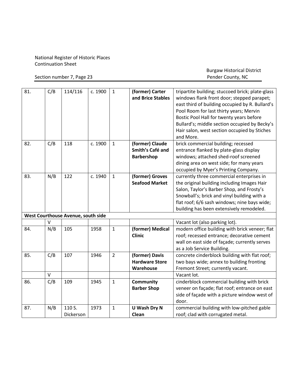Section number 7, Page 23

| 81. | C/B    | 114/116                            | c. 1900 | $\mathbf{1}$   | (former) Carter<br>and Brice Stables                     | tripartite building; stuccoed brick; plate-glass<br>windows flank front door; stepped parapet;<br>east third of building occupied by R. Bullard's<br>Pool Room for last thirty years; Mervin<br>Bostic Pool Hall for twenty years before<br>Bullard's; middle section occupied by Becky's<br>Hair salon, west section occupied by Stiches<br>and More. |
|-----|--------|------------------------------------|---------|----------------|----------------------------------------------------------|--------------------------------------------------------------------------------------------------------------------------------------------------------------------------------------------------------------------------------------------------------------------------------------------------------------------------------------------------------|
| 82. | C/B    | 118                                | c. 1900 | $\mathbf{1}$   | (former) Claude<br>Smith's Café and<br><b>Barbershop</b> | brick commercial building; recessed<br>entrance flanked by plate-glass display<br>windows; attached shed-roof screened<br>dining area on west side; for many years<br>occupied by Myer's Printing Company.                                                                                                                                             |
| 83. | N/B    | 122                                | c. 1940 | $\mathbf{1}$   | (former) Groves<br><b>Seafood Market</b>                 | currently three commercial enterprises in<br>the original building including Images Hair<br>Salon, Taylor's Barber Shop, and Frosty's<br>Snowball's; brick and vinyl building with a<br>flat roof; 6/6 sash windows; nine bays wide;<br>building has been extensively remodeled.                                                                       |
|     | V      | West Courthouse Avenue, south side |         |                |                                                          |                                                                                                                                                                                                                                                                                                                                                        |
| 84. | N/B    | 105                                | 1958    | $\mathbf{1}$   | (former) Medical<br><b>Clinic</b>                        | Vacant lot (also parking lot).<br>modern office building with brick veneer; flat<br>roof; recessed entrance; decorative cement<br>wall on east side of façade; currently serves<br>as a Job Service Building.                                                                                                                                          |
| 85. | C/B    | 107                                | 1946    | $\overline{2}$ | (former) Davis<br><b>Hardware Store</b><br>Warehouse     | concrete cinderblock building with flat roof;<br>two bays wide; annex to building fronting<br>Fremont Street; currently vacant.                                                                                                                                                                                                                        |
|     | $\vee$ |                                    |         |                |                                                          | Vacant lot.                                                                                                                                                                                                                                                                                                                                            |
| 86. | C/B    | 109                                | 1945    | $\mathbf{1}$   | Community<br><b>Barber Shop</b>                          | cinderblock commercial building with brick<br>veneer on façade; flat roof; entrance on east<br>side of façade with a picture window west of<br>door.                                                                                                                                                                                                   |
| 87. | N/B    | 110 S.<br>Dickerson                | 1973    | $\mathbf{1}$   | U Wash Dry N<br>Clean                                    | commercial building with low-pitched gable<br>roof; clad with corrugated metal.                                                                                                                                                                                                                                                                        |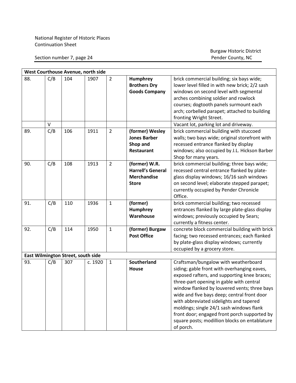Section number 7, page 24

| West Courthouse Avenue, north side |        |                                    |         |                |                                                                                 |                                                                                                                                                                                                                                                                                                                                                                                                                                                                                     |  |  |  |
|------------------------------------|--------|------------------------------------|---------|----------------|---------------------------------------------------------------------------------|-------------------------------------------------------------------------------------------------------------------------------------------------------------------------------------------------------------------------------------------------------------------------------------------------------------------------------------------------------------------------------------------------------------------------------------------------------------------------------------|--|--|--|
| 88.                                | C/B    | 104                                | 1907    | $\overline{2}$ | Humphrey<br><b>Brothers Dry</b><br><b>Goods Company</b>                         | brick commercial building; six bays wide;<br>lower level filled in with new brick; 2/2 sash<br>windows on second level with segmental<br>arches combining soldier and rowlock<br>courses; dogtooth panels surmount each<br>arch; corbelled parapet; attached to building<br>fronting Wright Street.                                                                                                                                                                                 |  |  |  |
|                                    | $\vee$ |                                    |         |                |                                                                                 | Vacant lot, parking lot and driveway.                                                                                                                                                                                                                                                                                                                                                                                                                                               |  |  |  |
| 89.                                | C/B    | 106                                | 1911    | $\overline{2}$ | (former) Wesley<br><b>Jones Barber</b><br>Shop and<br>Restaurant                | brick commercial building with stuccoed<br>walls; two bays wide; original storefront with<br>recessed entrance flanked by display<br>windows; also occupied by J.L. Hickson Barber<br>Shop for many years.                                                                                                                                                                                                                                                                          |  |  |  |
| 90.                                | C/B    | 108                                | 1913    | $\overline{2}$ | (former) W.R.<br><b>Harrell's General</b><br><b>Merchandise</b><br><b>Store</b> | brick commercial building; three bays wide;<br>recessed central entrance flanked by plate-<br>glass display windows; 16/16 sash windows<br>on second level; elaborate stepped parapet;<br>currently occupied by Pender Chronicle<br>Office.                                                                                                                                                                                                                                         |  |  |  |
| 91.                                | C/B    | 110                                | 1936    | $\mathbf{1}$   | (former)<br>Humphrey<br>Warehouse                                               | brick commercial building; two recessed<br>entrances flanked by large plate-glass display<br>windows; previously occupied by Sears;<br>currently a fitness center.                                                                                                                                                                                                                                                                                                                  |  |  |  |
| 92.                                | C/B    | 114                                | 1950    | $\mathbf{1}$   | (former) Burgaw<br><b>Post Office</b>                                           | concrete block commercial building with brick<br>facing; two recessed entrances; each flanked<br>by plate-glass display windows; currently<br>occupied by a grocery store.                                                                                                                                                                                                                                                                                                          |  |  |  |
|                                    |        | East Wilmington Street, south side |         |                |                                                                                 |                                                                                                                                                                                                                                                                                                                                                                                                                                                                                     |  |  |  |
| 93.                                | C/B    | 307                                | c. 1920 | $\mathbf{1}$   | Southerland<br>House                                                            | Craftsman/bungalow with weatherboard<br>siding; gable front with overhanging eaves,<br>exposed rafters, and supporting knee braces;<br>three-part opening in gable with central<br>window flanked by louvered vents; three bays<br>wide and five bays deep; central front door<br>with abbreviated sidelights and tapered<br>moldings; single 24/1 sash windows flank<br>front door; engaged front porch supported by<br>square posts; modillion blocks on entablature<br>of porch. |  |  |  |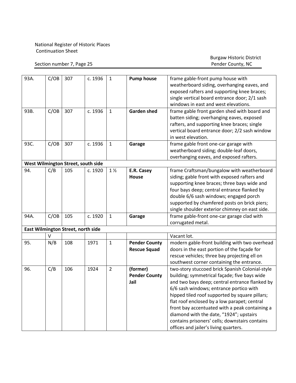Section number 7, Page 25

| 93A. | C/OB | 307                                | c. 1936 | $\mathbf{1}$   | <b>Pump house</b>                           | frame gable-front pump house with<br>weatherboard siding, overhanging eaves, and<br>exposed rafters and supporting knee braces;<br>single vertical board entrance door; 2/1 sash<br>windows in east and west elevations.                                                                                                                                                                                                                                                               |
|------|------|------------------------------------|---------|----------------|---------------------------------------------|----------------------------------------------------------------------------------------------------------------------------------------------------------------------------------------------------------------------------------------------------------------------------------------------------------------------------------------------------------------------------------------------------------------------------------------------------------------------------------------|
| 93B. | C/OB | 307                                | c. 1936 | $\mathbf{1}$   | <b>Garden shed</b>                          | frame gable front garden shed with board and<br>batten siding; overhanging eaves, exposed<br>rafters, and supporting knee braces; single<br>vertical board entrance door; 2/2 sash window<br>in west elevation.                                                                                                                                                                                                                                                                        |
| 93C. | C/OB | 307                                | c. 1936 | $\mathbf{1}$   | Garage                                      | frame gable front one-car garage with<br>weatherboard siding; double-leaf doors,<br>overhanging eaves, and exposed rafters.                                                                                                                                                                                                                                                                                                                                                            |
|      |      | West Wilmington Street, south side |         |                |                                             |                                                                                                                                                                                                                                                                                                                                                                                                                                                                                        |
| 94.  | C/B  | 105                                | c. 1920 | $1\frac{1}{2}$ | E.R. Casey<br>House                         | frame Craftsman/bungalow with weatherboard<br>siding; gable front with exposed rafters and<br>supporting knee braces; three bays wide and<br>four bays deep; central entrance flanked by<br>double 6/6 sash windows; engaged porch<br>supported by chamfered posts on brick piers;<br>single shoulder exterior chimney on east side.                                                                                                                                                   |
| 94A. | C/OB | 105                                | c. 1920 | $\mathbf{1}$   | Garage                                      | frame gable-front one-car garage clad with<br>corrugated metal.                                                                                                                                                                                                                                                                                                                                                                                                                        |
|      |      | East Wilmington Street, north side |         |                |                                             |                                                                                                                                                                                                                                                                                                                                                                                                                                                                                        |
|      | v    |                                    |         |                |                                             | Vacant lot.                                                                                                                                                                                                                                                                                                                                                                                                                                                                            |
| 95.  | N/B  | 108                                | 1971    | $\mathbf{1}$   | <b>Pender County</b><br><b>Rescue Squad</b> | modern gable-front building with two overhead<br>doors in the east portion of the façade for<br>rescue vehicles; three bay projecting ell on<br>southwest corner containing the entrance.                                                                                                                                                                                                                                                                                              |
| 96.  | C/B  | 106                                | 1924    | $\overline{2}$ | (former)<br><b>Pender County</b><br>Jail    | two-story stuccoed brick Spanish Colonial-style<br>building; symmetrical façade; five bays wide<br>and two bays deep; central entrance flanked by<br>6/6 sash windows; entrance portico with<br>hipped tiled roof supported by square pillars;<br>flat roof enclosed by a low parapet; central<br>front bay accentuated with a peak containing a<br>diamond with the date, "1924"; upstairs<br>contains prisoners' cells; downstairs contains<br>offices and jailer's living quarters. |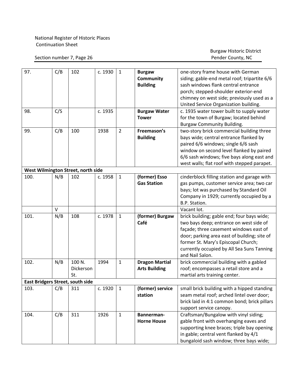Section number 7, Page 26

| 97.                                | C/B | 102                                     | c. 1930 | $\mathbf{1}$   | <b>Burgaw</b><br>Community<br><b>Building</b> | one-story frame house with German<br>siding; gable-end metal roof; tripartite 6/6<br>sash windows flank central entrance<br>porch; stepped-shoulder exterior-end<br>chimney on west side; previously used as a<br>United Service Organization building.                                 |  |  |  |  |
|------------------------------------|-----|-----------------------------------------|---------|----------------|-----------------------------------------------|-----------------------------------------------------------------------------------------------------------------------------------------------------------------------------------------------------------------------------------------------------------------------------------------|--|--|--|--|
| 98.                                | C/S |                                         | c. 1935 |                | <b>Burgaw Water</b><br><b>Tower</b>           | c. 1935 water tower built to supply water<br>for the town of Burgaw; located behind<br><b>Burgaw Community Building.</b>                                                                                                                                                                |  |  |  |  |
| 99.                                | C/B | 100                                     | 1938    | $\overline{2}$ | Freemason's<br><b>Building</b>                | two-story brick commercial building three<br>bays wide; central entrance flanked by<br>paired 6/6 windows; single 6/6 sash<br>window on second level flanked by paired<br>6/6 sash windows; five bays along east and<br>west walls; flat roof with stepped parapet.                     |  |  |  |  |
| West Wilmington Street, north side |     |                                         |         |                |                                               |                                                                                                                                                                                                                                                                                         |  |  |  |  |
| 100.                               | N/B | 102                                     | c. 1958 | $\mathbf{1}$   | (former) Esso<br><b>Gas Station</b>           | cinderblock filling station and garage with<br>gas pumps, customer service area; two car<br>bays; lot was purchased by Standard Oil<br>Company in 1929; currently occupied by a<br>B.P. Station.                                                                                        |  |  |  |  |
|                                    | V   |                                         |         |                |                                               | Vacant lot.                                                                                                                                                                                                                                                                             |  |  |  |  |
| 101.                               | N/B | 108                                     | c. 1978 | 1              | (former) Burgaw<br>Café                       | brick building; gable end; four bays wide;<br>two bays deep; entrance on west side of<br>façade; three casement windows east of<br>door; parking area east of building; site of<br>former St. Mary's Episcopal Church;<br>currently occupied by All Sea Suns Tanning<br>and Nail Salon. |  |  |  |  |
| 102.                               | N/B | 100 N.<br>Dickerson<br>St.              | 1994    | 1              | <b>Dragon Martial</b><br><b>Arts Building</b> | brick commercial building with a gabled<br>roof; encompasses a retail store and a<br>martial arts training center.                                                                                                                                                                      |  |  |  |  |
|                                    |     | <b>East Bridgers Street, south side</b> |         |                |                                               |                                                                                                                                                                                                                                                                                         |  |  |  |  |
| 103.                               | C/B | 311                                     | c. 1920 | $\mathbf{1}$   | (former) service<br>station                   | small brick building with a hipped standing<br>seam metal roof; arched lintel over door;<br>brick laid in 4:1 common bond; brick pillars<br>support service canopy.                                                                                                                     |  |  |  |  |
| 104.                               | C/B | 311                                     | 1926    | $\mathbf{1}$   | Bannerman-<br><b>Horne House</b>              | Craftsman/Bungalow with vinyl siding;<br>gable front with overhanging eaves and<br>supporting knee braces; triple bay opening<br>in gable; central vent flanked by 4/1<br>bungaloid sash window; three bays wide;                                                                       |  |  |  |  |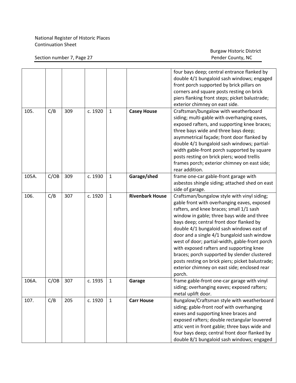|       |      |     |         |              |                        | four bays deep; central entrance flanked by<br>double 4/1 bungaloid sash windows; engaged<br>front porch supported by brick pillars on<br>corners and square posts resting on brick<br>piers flanking front steps; picket balustrade;<br>exterior chimney on east side.                                                                                                                                                                                                                                                                                                                  |
|-------|------|-----|---------|--------------|------------------------|------------------------------------------------------------------------------------------------------------------------------------------------------------------------------------------------------------------------------------------------------------------------------------------------------------------------------------------------------------------------------------------------------------------------------------------------------------------------------------------------------------------------------------------------------------------------------------------|
| 105.  | C/B  | 309 | c. 1920 | $\mathbf{1}$ | <b>Casey House</b>     | Craftsman/bungalow with weatherboard<br>siding; multi-gable with overhanging eaves,<br>exposed rafters, and supporting knee braces;<br>three bays wide and three bays deep;<br>asymmetrical façade; front door flanked by<br>double 4/1 bungaloid sash windows; partial-<br>width gable-front porch supported by square<br>posts resting on brick piers; wood trellis<br>frames porch; exterior chimney on east side;<br>rear addition.                                                                                                                                                  |
| 105A. | C/OB | 309 | c. 1930 | $\mathbf{1}$ | Garage/shed            | frame one-car gable-front garage with<br>asbestos shingle siding; attached shed on east<br>side of garage.                                                                                                                                                                                                                                                                                                                                                                                                                                                                               |
| 106.  | C/B  | 307 | c. 1920 | $\mathbf{1}$ | <b>Rivenbark House</b> | Craftsman/bungalow style with vinyl siding;<br>gable front with overhanging eaves, exposed<br>rafters, and knee braces; small 1/1 sash<br>window in gable; three bays wide and three<br>bays deep; central front door flanked by<br>double 4/1 bungaloid sash windows east of<br>door and a single 4/1 bungaloid sash window<br>west of door; partial-width, gable-front porch<br>with exposed rafters and supporting knee<br>braces; porch supported by slender clustered<br>posts resting on brick piers; picket balustrade;<br>exterior chimney on east side; enclosed rear<br>porch. |
| 106A. | C/OB | 307 | c. 1935 | $\mathbf{1}$ | Garage                 | frame gable-front one-car garage with vinyl<br>siding; overhanging eaves; exposed rafters;<br>metal uplift door.                                                                                                                                                                                                                                                                                                                                                                                                                                                                         |
| 107.  | C/B  | 205 | c. 1920 | $\mathbf{1}$ | <b>Carr House</b>      | Bungalow/Craftsman style with weatherboard<br>siding; gable-front roof with overhanging<br>eaves and supporting knee braces and<br>exposed rafters; double rectangular louvered<br>attic vent in front gable; three bays wide and<br>four bays deep; central front door flanked by<br>double 8/1 bungaloid sash windows; engaged                                                                                                                                                                                                                                                         |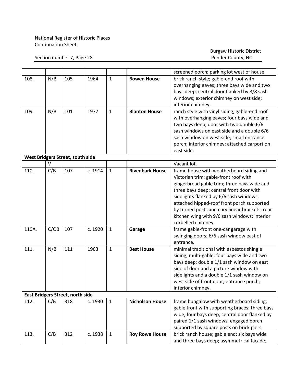#### Section number 7, Page 28

|       |      |                                         |         |              |                        | screened porch; parking lot west of house.     |
|-------|------|-----------------------------------------|---------|--------------|------------------------|------------------------------------------------|
| 108.  | N/B  | 105                                     | 1964    | $\mathbf{1}$ | <b>Bowen House</b>     | brick ranch style; gable-end roof with         |
|       |      |                                         |         |              |                        | overhanging eaves; three bays wide and two     |
|       |      |                                         |         |              |                        | bays deep; central door flanked by 8/8 sash    |
|       |      |                                         |         |              |                        | windows; exterior chimney on west side;        |
|       |      |                                         |         |              |                        | interior chimney.                              |
| 109.  | N/B  | 101                                     | 1977    | $\mathbf{1}$ | <b>Blanton House</b>   | ranch style with vinyl siding; gable-end roof  |
|       |      |                                         |         |              |                        | with overhanging eaves; four bays wide and     |
|       |      |                                         |         |              |                        | two bays deep; door with two double 6/6        |
|       |      |                                         |         |              |                        | sash windows on east side and a double 6/6     |
|       |      |                                         |         |              |                        | sash window on west side; small entrance       |
|       |      |                                         |         |              |                        | porch; interior chimney; attached carport on   |
|       |      |                                         |         |              |                        | east side.                                     |
|       |      | West Bridgers Street, south side        |         |              |                        |                                                |
|       | v    |                                         |         |              |                        | Vacant lot.                                    |
| 110.  | C/B  | 107                                     | c. 1914 | $\mathbf{1}$ | <b>Rivenbark House</b> | frame house with weatherboard siding and       |
|       |      |                                         |         |              |                        | Victorian trim; gable-front roof with          |
|       |      |                                         |         |              |                        | gingerbread gable trim; three bays wide and    |
|       |      |                                         |         |              |                        | three bays deep; central front door with       |
|       |      |                                         |         |              |                        | sidelights flanked by 6/6 sash windows;        |
|       |      |                                         |         |              |                        | attached hipped-roof front porch supported     |
|       |      |                                         |         |              |                        | by turned posts and curvilinear brackets; rear |
|       |      |                                         |         |              |                        | kitchen wing with 9/6 sash windows; interior   |
|       |      |                                         |         |              |                        | corbelled chimney.                             |
| 110A. | C/OB | 107                                     | c. 1920 | $\mathbf{1}$ | Garage                 | frame gable-front one-car garage with          |
|       |      |                                         |         |              |                        | swinging doors; 6/6 sash window east of        |
|       |      |                                         |         |              |                        | entrance.                                      |
| 111.  | N/B  | 111                                     | 1963    | $\mathbf{1}$ | <b>Best House</b>      | minimal traditional with asbestos shingle      |
|       |      |                                         |         |              |                        | siding; multi-gable; four bays wide and two    |
|       |      |                                         |         |              |                        | bays deep; double 1/1 sash window on east      |
|       |      |                                         |         |              |                        | side of door and a picture window with         |
|       |      |                                         |         |              |                        | sidelights and a double 1/1 sash window on     |
|       |      |                                         |         |              |                        | west side of front door; entrance porch;       |
|       |      |                                         |         |              |                        | interior chimney.                              |
|       |      | <b>East Bridgers Street, north side</b> |         |              |                        |                                                |
| 112.  | C/B  | 318                                     | c. 1930 | $\mathbf{1}$ | <b>Nicholson House</b> | frame bungalow with weatherboard siding;       |
|       |      |                                         |         |              |                        | gable front with supporting braces; three bays |
|       |      |                                         |         |              |                        | wide, four bays deep; central door flanked by  |
|       |      |                                         |         |              |                        | paired 1/1 sash windows; engaged porch         |
|       |      |                                         |         |              |                        | supported by square posts on brick piers.      |
| 113.  | C/B  | 312                                     | c. 1938 | $\mathbf{1}$ | <b>Roy Rowe House</b>  | brick ranch house; gable end; six bays wide    |
|       |      |                                         |         |              |                        | and three bays deep; asymmetrical façade;      |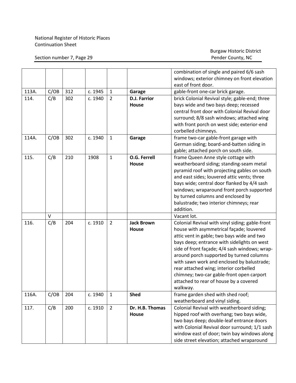|       |      |     |         |                |                     | combination of single and paired 6/6 sash       |  |
|-------|------|-----|---------|----------------|---------------------|-------------------------------------------------|--|
|       |      |     |         |                |                     | windows; exterior chimney on front elevation    |  |
|       |      |     |         |                |                     | east of front door.                             |  |
| 113A. | C/OB | 312 | c. 1945 | $\mathbf{1}$   | Garage              | gable-front one-car brick garage.               |  |
| 114.  | C/B  | 302 | c. 1940 | $\overline{2}$ | <b>D.J. Farrior</b> | brick Colonial Revival style; gable-end; three  |  |
|       |      |     |         |                | House               | bays wide and two bays deep; recessed           |  |
|       |      |     |         |                |                     | central front door with Colonial Revival door   |  |
|       |      |     |         |                |                     | surround; 8/8 sash windows; attached wing       |  |
|       |      |     |         |                |                     | with front porch on west side; exterior-end     |  |
|       |      |     |         |                |                     | corbelled chimneys.                             |  |
| 114A. | C/OB | 302 | c. 1940 | $\mathbf{1}$   | Garage              | frame two-car gable-front garage with           |  |
|       |      |     |         |                |                     | German siding; board-and-batten siding in       |  |
|       |      |     |         |                |                     | gable; attached porch on south side.            |  |
| 115.  | C/B  | 210 | 1908    | $\mathbf 1$    | O.G. Ferrell        | frame Queen Anne style cottage with             |  |
|       |      |     |         |                | <b>House</b>        | weatherboard siding; standing-seam metal        |  |
|       |      |     |         |                |                     | pyramid roof with projecting gables on south    |  |
|       |      |     |         |                |                     | and east sides; louvered attic vents; three     |  |
|       |      |     |         |                |                     | bays wide; central door flanked by 4/4 sash     |  |
|       |      |     |         |                |                     | windows; wraparound front porch supported       |  |
|       |      |     |         |                |                     | by turned columns and enclosed by               |  |
|       |      |     |         |                |                     | balustrade; two interior chimneys; rear         |  |
|       |      |     |         |                |                     | addition.                                       |  |
|       | V    |     |         |                |                     | Vacant lot.                                     |  |
| 116.  | C/B  | 204 | c. 1910 | $\overline{2}$ | <b>Jack Brown</b>   | Colonial Revival with vinyl siding; gable-front |  |
|       |      |     |         |                | House               | house with asymmetrical façade; louvered        |  |
|       |      |     |         |                |                     | attic vent in gable; two bays wide and two      |  |
|       |      |     |         |                |                     | bays deep; entrance with sidelights on west     |  |
|       |      |     |         |                |                     | side of front façade; 4/4 sash windows; wrap-   |  |
|       |      |     |         |                |                     | around porch supported by turned columns        |  |
|       |      |     |         |                |                     | with sawn work and enclosed by balustrade;      |  |
|       |      |     |         |                |                     | rear attached wing; interior corbelled          |  |
|       |      |     |         |                |                     | chimney; two-car gable-front open carport       |  |
|       |      |     |         |                |                     | attached to rear of house by a covered          |  |
|       |      |     |         |                |                     | walkway.                                        |  |
| 116A. | C/OB | 204 | c. 1940 | $\mathbf{1}$   | <b>Shed</b>         | frame garden shed with shed roof;               |  |
|       |      |     |         |                |                     | weatherboard and vinyl siding.                  |  |
| 117.  | C/B  | 200 | c. 1910 | $\overline{2}$ | Dr. H.B. Thomas     | Colonial Revival with weatherboard siding;      |  |
|       |      |     |         |                | House               | hipped roof with overhang; two bays wide,       |  |
|       |      |     |         |                |                     | two bays deep; double-leaf entrance doors       |  |
|       |      |     |         |                |                     | with Colonial Revival door surround; 1/1 sash   |  |
|       |      |     |         |                |                     | window east of door; twin bay windows along     |  |
|       |      |     |         |                |                     | side street elevation; attached wraparound      |  |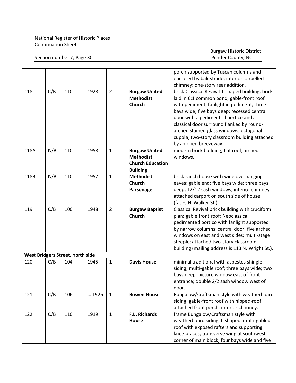|       |     |                                  |         |                |                         | porch supported by Tuscan columns and            |  |
|-------|-----|----------------------------------|---------|----------------|-------------------------|--------------------------------------------------|--|
|       |     |                                  |         |                |                         | enclosed by balustrade; interior corbelled       |  |
|       |     |                                  |         |                |                         | chimney; one-story rear addition.                |  |
| 118.  | C/B | 110                              | 1928    | $\overline{2}$ | <b>Burgaw United</b>    | brick Classical Revival T-shaped building; brick |  |
|       |     |                                  |         |                | <b>Methodist</b>        | laid in 6:1 common bond; gable-front roof        |  |
|       |     |                                  |         |                | <b>Church</b>           | with pediment; fanlight in pediment; three       |  |
|       |     |                                  |         |                |                         | bays wide; five bays deep; recessed central      |  |
|       |     |                                  |         |                |                         | door with a pedimented portico and a             |  |
|       |     |                                  |         |                |                         | classical door surround flanked by round-        |  |
|       |     |                                  |         |                |                         | arched stained-glass windows; octagonal          |  |
|       |     |                                  |         |                |                         | cupola; two-story classroom building attached    |  |
|       |     |                                  |         |                |                         | by an open breezeway.                            |  |
| 118A. | N/B | 110                              | 1958    | $\mathbf{1}$   | <b>Burgaw United</b>    | modern brick building; flat roof; arched         |  |
|       |     |                                  |         |                | <b>Methodist</b>        | windows.                                         |  |
|       |     |                                  |         |                | <b>Church Education</b> |                                                  |  |
|       |     |                                  |         |                | <b>Building</b>         |                                                  |  |
| 118B. | N/B | 110                              | 1957    | $\mathbf{1}$   | <b>Methodist</b>        | brick ranch house with wide overhanging          |  |
|       |     |                                  |         |                | <b>Church</b>           | eaves; gable end; five bays wide: three bays     |  |
|       |     |                                  |         |                | Parsonage               | deep: 12/12 sash windows; interior chimney;      |  |
|       |     |                                  |         |                |                         | attached carport on south side of house          |  |
|       |     |                                  |         |                |                         | (faces N. Walker St.).                           |  |
| 119.  | C/B | 100                              | 1948    | $\overline{2}$ | <b>Burgaw Baptist</b>   | Classical Revival brick building with cruciform  |  |
|       |     |                                  |         |                | <b>Church</b>           | plan; gable front roof; Neoclassical             |  |
|       |     |                                  |         |                |                         | pedimented portico with fanlight supported       |  |
|       |     |                                  |         |                |                         | by narrow columns; central door; five arched     |  |
|       |     |                                  |         |                |                         | windows on east and west sides; multi-stage      |  |
|       |     |                                  |         |                |                         | steeple; attached two-story classroom            |  |
|       |     |                                  |         |                |                         | building (mailing address is 113 N. Wright St.). |  |
|       |     | West Bridgers Street, north side |         |                |                         |                                                  |  |
| 120.  | C/B | 104                              | 1945    | $\mathbf{1}$   | <b>Davis House</b>      | minimal traditional with asbestos shingle        |  |
|       |     |                                  |         |                |                         | siding; multi-gable roof; three bays wide; two   |  |
|       |     |                                  |         |                |                         | bays deep; picture window east of front          |  |
|       |     |                                  |         |                |                         | entrance; double 2/2 sash window west of         |  |
|       |     |                                  |         |                |                         | door.                                            |  |
| 121.  | C/B | 106                              | c. 1926 | $\mathbf{1}$   | <b>Bowen House</b>      | Bungalow/Craftsman style with weatherboard       |  |
|       |     |                                  |         |                |                         | siding; gable-front roof with hipped-roof        |  |
|       |     |                                  |         |                |                         | attached front porch; interior chimney.          |  |
| 122.  | C/B | 110                              | 1919    | $\mathbf{1}$   | F.L. Richards           | frame Bungalow/Craftsman style with              |  |
|       |     |                                  |         |                | House                   | weatherboard siding; L-shaped; multi-gabled      |  |
|       |     |                                  |         |                |                         | roof with exposed rafters and supporting         |  |
|       |     |                                  |         |                |                         | knee braces; transverse wing at southwest        |  |
|       |     |                                  |         |                |                         | corner of main block; four bays wide and five    |  |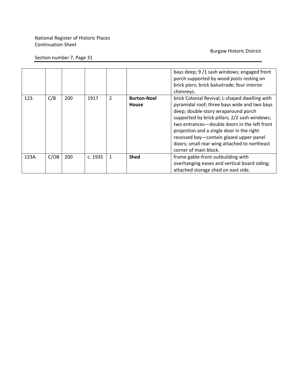#### Burgaw Historic District

#### Section number 7, Page 31

|       |      |     |         |                |                                    | bays deep; 9/1 sash windows; engaged front<br>porch supported by wood posts resting on<br>brick piers; brick balustrade; four interior<br>chimneys.                                                                                                                                                                                                                                                     |
|-------|------|-----|---------|----------------|------------------------------------|---------------------------------------------------------------------------------------------------------------------------------------------------------------------------------------------------------------------------------------------------------------------------------------------------------------------------------------------------------------------------------------------------------|
| 123.  | C/B  | 200 | 1917    | $\overline{2}$ | <b>Burton-Noel</b><br><b>House</b> | brick Colonial Revival; L-shaped dwelling with<br>pyramidal roof; three bays wide and two bays<br>deep; double-story wraparound porch<br>supported by brick pillars; 2/2 sash windows;<br>two entrances-double doors in the left front<br>projection and a single door in the right<br>recessed bay-contain glazed upper-panel<br>doors; small rear wing attached to northeast<br>corner of main block. |
| 123A. | C/OB | 200 | c. 1935 | $\mathbf{1}$   | <b>Shed</b>                        | frame gable-front outbuilding with<br>overhanging eaves and vertical board siding;<br>attached storage shed on east side.                                                                                                                                                                                                                                                                               |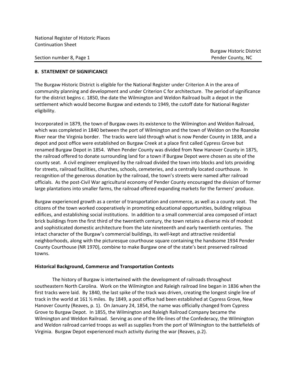Section number 8, Page 1 Pender County, NC

#### **8. STATEMENT OF SIGNIFICANCE**

The Burgaw Historic District is eligible for the National Register under Criterion A in the area of community planning and development and under Criterion C for architecture. The period of significance for the district begins c. 1850, the date the Wilmington and Weldon Railroad built a depot in the settlement which would become Burgaw and extends to 1949, the cutoff date for National Register eligibility.

Incorporated in 1879, the town of Burgaw owes its existence to the Wilmington and Weldon Railroad, which was completed in 1840 between the port of Wilmington and the town of Weldon on the Roanoke River near the Virginia border. The tracks were laid through what is now Pender County in 1838, and a depot and post office were established on Burgaw Creek at a place first called Cypress Grove but renamed Burgaw Depot in 1854. When Pender County was divided from New Hanover County in 1875, the railroad offered to donate surrounding land for a town if Burgaw Depot were chosen as site of the county seat. A civil engineer employed by the railroad divided the town into blocks and lots providing for streets, railroad facilities, churches, schools, cemeteries, and a centrally located courthouse. In recognition of the generous donation by the railroad, the town's streets were named after railroad officials. As the post-Civil War agricultural economy of Pender County encouraged the division of former large plantations into smaller farms, the railroad offered expanding markets for the farmers' produce.

Burgaw experienced growth as a center of transportation and commerce, as well as a county seat. The citizens of the town worked cooperatively in promoting educational opportunities, building religious edifices, and establishing social institutions. In addition to a small commercial area composed of intact brick buildings from the first third of the twentieth century, the town retains a diverse mix of modest and sophisticated domestic architecture from the late nineteenth and early twentieth centuries. The intact character of the Burgaw's commercial buildings, its well-kept and attractive residential neighborhoods, along with the picturesque courthouse square containing the handsome 1934 Pender County Courthouse (NR 1970), combine to make Burgaw one of the state's best preserved railroad towns.

#### **Historical Background, Commerce and Transportation Contexts**

The history of Burgaw is intertwined with the development of railroads throughout southeastern North Carolina. Work on the Wilmington and Raleigh railroad line began in 1836 when the first tracks were laid. By 1840, the last spike of the track was driven, creating the longest single line of track in the world at 161 ½ miles. By 1849, a post office had been established at Cypress Grove, New Hanover County (Reaves, p. 1). On January 24, 1854, the name was officially changed from Cypress Grove to Burgaw Depot. In 1855, the Wilmington and Raleigh Railroad Company became the Wilmington and Weldon Railroad. Serving as one of the life-lines of the Confederacy, the Wilmington and Weldon railroad carried troops as well as supplies from the port of Wilmington to the battlefields of Virginia. Burgaw Depot experienced much activity during the war (Reaves, p.2).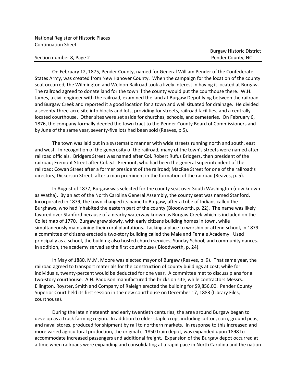#### Section number 8, Page 2 Pender County, NC

On February 12, 1875, Pender County, named for General William Pender of the Confederate States Army, was created from New Hanover County. When the campaign for the location of the county seat occurred, the Wilmington and Weldon Railroad took a lively interest in having it located at Burgaw. The railroad agreed to donate land for the town if the county would put the courthouse there. W.H. James, a civil engineer with the railroad, examined the land at Burgaw Depot lying between the railroad and Burgaw Creek and reported it a good location for a town and well situated for drainage. He divided a seventy-three-acre site into blocks and lots, providing for streets, railroad facilities, and a centrally located courthouse. Other sites were set aside for churches, schools, and cemeteries. On February 6, 1876, the company formally deeded the town tract to the Pender County Board of Commissioners and by June of the same year, seventy-five lots had been sold (Reaves, p.5).

The town was laid out in a systematic manner with wide streets running north and south, east and west. In recognition of the generosity of the railroad, many of the town's streets were named after railroad officials. Bridgers Street was named after Col. Robert Rufus Bridgers, then president of the railroad; Fremont Street after Col. S.L. Fremont, who had been the general superintendent of the railroad; Cowan Street after a former president of the railroad; MacRae Street for one of the railroad's directors; Dickerson Street, after a man prominent in the formation of the railroad (Reaves, p. 5).

In August of 1877, Burgaw was selected for the county seat over South Washington (now known as Watha). By an act of the North Carolina General Assembly, the county seat was named Stanford. Incorporated in 1879, the town changed its name to Burgaw, after a tribe of Indians called the Burghaws, who had inhabited the eastern part of the county (Bloodworth, p. 22). The name was likely favored over Stanford because of a nearby waterway known as Burgaw Creek which is included on the Collet map of 1770. Burgaw grew slowly, with early citizens building homes in town, while simultaneously maintaining their rural plantations. Lacking a place to worship or attend school, in 1879 a committee of citizens erected a two-story building called the Male and Female Academy. Used principally as a school, the building also hosted church services, Sunday School, and community dances. In addition, the academy served as the first courthouse ( Bloodworth, p. 24).

In May of 1880, M.M. Moore was elected mayor of Burgaw (Reaves, p. 9). That same year, the railroad agreed to transport materials for the construction of county buildings at cost; while for individuals, twenty-percent would be deducted for one year. A committee met to discuss plans for a two-story courthouse. A.H. Paddison manufactured the bricks on site, while contractors Messrs. Ellington, Royster, Smith and Company of Raleigh erected the building for \$9,856.00. Pender County Superior Court held its first session in the new courthouse on December 17, 1883 (Library Files, courthouse).

During the late nineteenth and early twentieth centuries, the area around Burgaw began to develop as a truck farming region. In addition to older staple crops including cotton, corn, ground peas, and naval stores, produced for shipment by rail to northern markets. In response to this increased and more varied agricultural production, the original c. 1850 train depot, was expanded upon 1898 to accommodate increased passengers and additional freight. Expansion of the Burgaw depot occurred at a time when railroads were expanding and consolidating at a rapid pace in North Carolina and the nation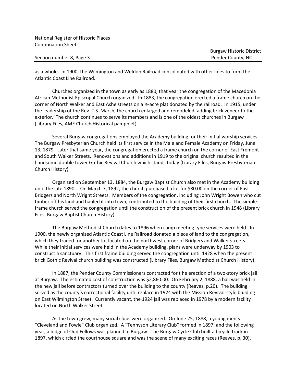as a whole. In 1900, the Wilmington and Weldon Railroad consolidated with other lines to form the Atlantic Coast Line Railroad.

Churches organized in the town as early as 1880; that year the congregation of the Macedonia African Methodist Episcopal Church organized. In 1883, the congregation erected a frame church on the corner of North Walker and East Ashe streets on a ½-acre plat donated by the railroad. In 1915, under the leadership of the Rev. T.S. Marsh, the church enlarged and remodeled, adding brick veneer to the exterior. The church continues to serve its members and is one of the oldest churches in Burgaw (Library Files, AME Church Historical pamphlet).

Several Burgaw congregations employed the Academy building for their initial worship services. The Burgaw Presbyterian Church held its first service in the Male and Female Academy on Friday, June 13, 1879. Later that same year, the congregation erected a frame church on the corner of East Fremont and South Walker Streets. Renovations and additions in 1919 to the original church resulted in the handsome double tower Gothic Revival Church which stands today (Library Files, Burgaw Presbyterian Church History).

Organized on September 13, 1884, the Burgaw Baptist Church also met in the Academy building until the late 1890s. On March 7, 1892, the church purchased a lot for \$80.00 on the corner of East Bridgers and North Wright Streets. Members of the congregation, including John Wright Bowen who cut timber off his land and hauled it into town, contributed to the building of their first church. The simple frame church served the congregation until the construction of the present brick church in 1948 (Library Files, Burgaw Baptist Church History).

The Burgaw Methodist Church dates to 1896 when camp meeting type services were held. In 1900, the newly organized Atlantic Coast Line Railroad donated a piece of land to the congregation, which they traded for another lot located on the northwest corner of Bridgers and Walker streets. While their initial services were held in the Academy building, plans were underway by 1903 to construct a sanctuary. This first frame building served the congregation until 1928 when the present brick Gothic Revival church building was constructed (Library Files, Burgaw Methodist Church History).

In 1887, the Pender County Commissioners contracted for t he erection of a two-story brick jail at Burgaw. The estimated cost of construction was \$2,860.00. On February 2, 1888, a ball was held in the new jail before contractors turned over the building to the county (Reaves, p.20). The building served as the county's correctional facility until replace in 1924 with the Mission Revival-style building on East Wilmington Street. Currently vacant, the 1924 jail was replaced in 1978 by a modern facility located on North Walker Street.

As the town grew, many social clubs were organized. On June 25, 1888, a young men's "Cleveland and Fowle" Club organized. A "Tennyson Literary Club" formed in 1897, and the following year, a lodge of Odd Fellows was planned in Burgaw. The Burgaw Cycle Club built a bicycle track in 1897, which circled the courthouse square and was the scene of many exciting races (Reaves, p. 30).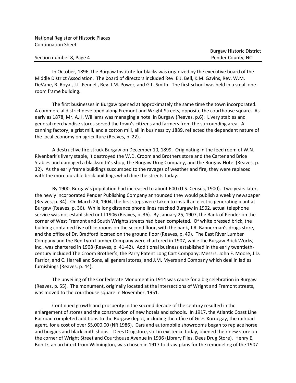Section number 8, Page 4 Pender County, NC

In October, 1896, the Burgaw Institute for blacks was organized by the executive board of the Middle District Association. The board of directors included Rev. E.J. Bell, K.M. Gavins, Rev. W.M. DeVane, R. Royal, J.L. Fennell, Rev. I.M. Power, and G.L. Smith. The first school was held in a small oneroom frame building.

The first businesses in Burgaw opened at approximately the same time the town incorporated. A commercial district developed along Fremont and Wright Streets, opposite the courthouse square. As early as 1878, Mr. A.H. Williams was managing a hotel in Burgaw (Reaves, p.6). Livery stables and general merchandise stores served the town's citizens and farmers from the surrounding area. A canning factory, a grist mill, and a cotton mill, all in business by 1889, reflected the dependent nature of the local economy on agriculture (Reaves, p. 22).

A destructive fire struck Burgaw on December 10, 1899. Originating in the feed room of W.N. Rivenbark's livery stable, it destroyed the W.D. Croom and Brothers store and the Carter and Brice Stables and damaged a blacksmith's shop, the Burgaw Drug Company, and the Burgaw Hotel (Reaves, p. 32). As the early frame buildings succumbed to the ravages of weather and fire, they were replaced with the more durable brick buildings which line the streets today.

By 1900, Burgaw's population had increased to about 600 (U.S. Census, 1900). Two years later, the newly incorporated Pender Publishing Company announced they would publish a weekly newspaper (Reaves, p. 34). On March 24, 1904, the first steps were taken to install an electric generating plant at Burgaw (Reaves, p. 36). While long distance phone lines reached Burgaw in 1902, actual telephone service was not established until 1906 (Reaves, p. 36). By January 25, 1907, the Bank of Pender on the corner of West Fremont and South Wrights streets had been completed. Of white pressed brick, the building contained five office rooms on the second floor, with the bank, J.R. Bannerman's drugs store, and the office of Dr. Bradford located on the ground floor (Reaves, p. 49). The East River Lumber Company and the Red Lyon Lumber Company were chartered in 1907, while the Burgaw Brick Works, Inc., was chartered in 1908 (Reaves, p. 41-42). Additional business established in the early twentiethcentury included The Croom Brother's; the Parry Patent Long Cart Company; Messrs. John F. Moore, J.D. Farrior, and C. Harrell and Sons, all general stores; and J.M. Myers and Company which deal in ladies furnishings (Reaves, p. 44).

The unveiling of the Confederate Monument in 1914 was cause for a big celebration in Burgaw (Reaves, p. 55). The monument, originally located at the intersections of Wright and Fremont streets, was moved to the courthouse square in November, 1951.

Continued growth and prosperity in the second decade of the century resulted in the enlargement of stores and the construction of new hotels and schools. In 1917, the Atlantic Coast Line Railroad completed additions to the Burgaw depot, including the office of Giles Kornegay, the railroad agent, for a cost of over \$5,000.00 (NR 1986). Cars and automobile showrooms began to replace horse and buggies and blacksmith shops. Dees Drugstore, still in existence today, opened their new store on the corner of Wright Street and Courthouse Avenue in 1936 (Library Files, Dees Drug Store). Henry E. Bonitz, an architect from Wilmington, was chosen in 1917 to draw plans for the remodeling of the 1907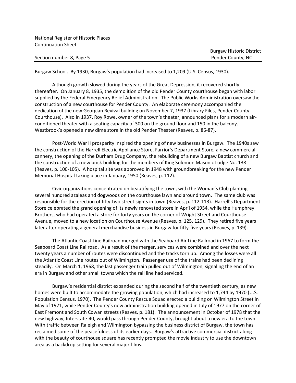#### Section number 8, Page 5 Pender County, NC

Burgaw School. By 1930, Burgaw's population had increased to 1,209 (U.S. Census, 1930).

Although growth slowed during the years of the Great Depression, it recovered shortly thereafter. On January 8, 1935, the demolition of the old Pender County courthouse began with labor supplied by the Federal Emergency Relief Administration. The Public Works Administration oversaw the construction of a new courthouse for Pender County. An elaborate ceremony accompanied the dedication of the new Georgian Revival building on November 7, 1937 (Library Files, Pender County Courthouse). Also in 1937, Roy Rowe, owner of the town's theater, announced plans for a modern airconditioned theater with a seating capacity of 300 on the ground floor and 150 in the balcony. Westbrook's opened a new dime store in the old Pender Theater (Reaves, p. 86-87).

Post-World War II prosperity inspired the opening of new businesses in Burgaw. The 1940s saw the construction of the Harrell Electric Appliance Store, Farrior's Department Store, a new commercial cannery, the opening of the Durham Drug Company, the rebuilding of a new Burgaw Baptist church and the construction of a new brick building for the members of King Solomon Masonic Lodge No. 138 (Reaves, p. 100-105). A hospital site was approved in 1948 with groundbreaking for the new Pender Memorial Hospital taking place in January, 1950 (Reaves, p. 112).

Civic organizations concentrated on beautifying the town, with the Woman's Club planting several hundred azaleas and dogwoods on the courthouse lawn and around town. The same club was responsible for the erection of fifty-two street sights in town (Reaves, p. 112-113). Harrell's Department Store celebrated the grand opening of its newly renovated store in April of 1954, while the Humphrey Brothers, who had operated a store for forty years on the corner of Wright Street and Courthouse Avenue, moved to a new location on Courthouse Avenue (Reaves, p. 125, 129). They retired five years later after operating a general merchandise business in Burgaw for fifty-five years (Reaves, p. 139).

The Atlantic Coast Line Railroad merged with the Seaboard Air Line Railroad in 1967 to form the Seaboard Coast Line Railroad. As a result of the merger, services were combined and over the next twenty years a number of routes were discontinued and the tracks torn up. Among the losses were all the Atlantic Coast Line routes out of Wilmington. Passenger use of the trains had been declining steadily. On March 1, 1968, the last passenger train pulled out of Wilmington, signaling the end of an era in Burgaw and other small towns which the rail line had serviced.

Burgaw's residential district expanded during the second half of the twentieth century, as new homes were built to accommodate the growing population, which had increased to 1,744 by 1970 (U.S. Population Census, 1970). The Pender County Rescue Squad erected a building on Wilmington Street in May of 1971, while Pender County's new administration building opened in July of 1977 on the corner of East Fremont and South Cowan streets (Reaves, p. 181). The announcement in October of 1978 that the new highway, Interstate-40, would pass through Pender County, brought about a new era to the town. With traffic between Raleigh and Wilmington bypassing the business district of Burgaw, the town has reclaimed some of the peacefulness of its earlier days. Burgaw's attractive commercial district along with the beauty of courthouse square has recently prompted the movie industry to use the downtown area as a backdrop setting for several major films.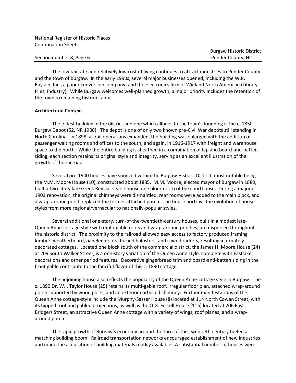Section number 8, Page 6 Pender County, NC

The low tax rate and relatively low cost of living continues to attract industries to Pender County and the town of Burgaw. In the early 1990s, several major businesses opened, including the W.R. Rayson, Inc., a paper conversion company, and the electronics firm of Wieland North American (Library Files, Industry). While Burgaw welcomes well-planned growth, a major priority includes the retention of the town's remaining historic fabric.

#### **Architectural Context**

The oldest building in the district and one which alludes to the town's founding is the c. 1850 Burgaw Depot (52, NR 1986). The depot is one of only two known pre-Civil War depots still standing in North Carolina. In 1898, as rail operations expanded, the building was enlarged with the addition of passenger waiting rooms and offices to the south, and again, in 1916-1917 with freight and warehouse space to the north. While the entire building is sheathed in a combination of lap and board-and-batten siding, each section retains its original style and integrity, serving as an excellent illustration of the growth of the railroad.

Several pre-1900 houses have survived within the Burgaw Historic District, most notable being the M.M. Moore House (10), constructed about 1885. M.M. Moore, elected mayor of Burgaw in 1880, built a two-story late Greek Revival-style I-house one block north of the courthouse. During a major c. 1903 renovation, the original chimneys were dismantled, rear rooms were added to the main block, and a wrap-around porch replaced the former attached porch. The house portrays the evolution of house styles from more regional/vernacular to nationally-popular styles.

Several additional one-story, turn-of-the-twentieth-century houses, built in a modest late-Queen Anne-cottage style with multi-gable roofs and wrap-around porches, are dispersed throughout the historic district. The proximity to the railroad allowed easy access to factory produced framing lumber, weatherboard, paneled doors, turned balusters, and sawn brackets, resulting in ornately decorated cottages. Located one block south of the commercial district, the James H. Moore House (24) at 209 South Walker Street, is a one-story variation of the Queen Anne style, complete with Eastlake decorations and other period features. Decorative gingerbread trim and board-and-batten siding in the front gable contribute to the fanciful flavor of this c. 1890 cottage.

The adjoining house also reflects the popularity of the Queen Anne-cottage style in Burgaw. The c. 1890 Dr. W.I. Taylor House (25) retains its multi-gable roof, irregular floor plan, attached wrap-around porch supported by wood posts, and an exterior corbelled chimney. Further manifestations of the Queen Anne cottage-style include the Murphy-Sasser House (8) located at 114 North Cowan Street, with its hipped roof and gabled projections, as well as the O.G. Ferrell House (115) located at 206 East Bridgers Street, an attractive Queen Anne cottage with a variety of wings, roof planes, and a wraparound porch.

The rapid growth of Burgaw's economy around the turn-of-the-twentieth-century fueled a matching building boom. Railroad transportation networks encouraged establishment of new industries and made the acquisition of building materials readily available. A substantial number of houses were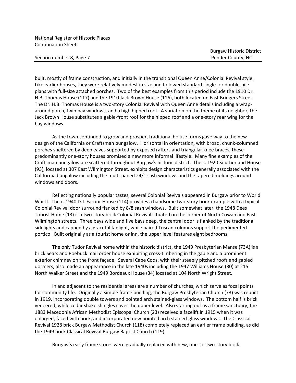Section number 8, Page 7 Pender County, NC

built, mostly of frame construction, and initially in the transitional Queen Anne/Colonial Revival style. Like earlier houses, they were relatively modest in size and followed standard single- or double-pile plans with full-size attached porches. Two of the best examples from this period include the 1910 Dr. H.B. Thomas House (117) and the 1910 Jack Brown House (116), both located on East Bridgers Street. The Dr. H.B. Thomas House is a two-story Colonial Revival with Queen Anne details including a wraparound porch, twin bay windows, and a high hipped roof. A variation on the theme of its neighbor, the Jack Brown House substitutes a gable-front roof for the hipped roof and a one-story rear wing for the bay windows.

As the town continued to grow and prosper, traditional ho use forms gave way to the new design of the California or Craftsman bungalow. Horizontal in orientation, with broad, chunk-columned porches sheltered by deep eaves supported by exposed rafters and triangular knee braces, these predominantly one-story houses promised a new more informal lifestyle. Many fine examples of the Craftsman bungalow are scattered throughout Burgaw's historic district. The c. 1920 Southerland House (93), located at 307 East Wilmington Street, exhibits design characteristics generally associated with the California bungalow including the multi-paned 24/1 sash windows and the tapered moldings around windows and doors.

Reflecting nationally popular tastes, several Colonial Revivals appeared in Burgaw prior to World War II. The c. 1940 D.J. Farrior House (114) provides a handsome two-story brick example with a typical Colonial Revival door surround flanked by 8/8 sash windows. Built somewhat later, the 1948 Dees Tourist Home (13) is a two-story brick Colonial Revival situated on the corner of North Cowan and East Wilmington streets. Three bays wide and five bays deep, the central door is flanked by the traditional sidelights and capped by a graceful fanlight, while paired Tuscan columns support the pedimented portico. Built originally as a tourist home or inn, the upper level features eight bedrooms.

The only Tudor Revival home within the historic district, the 1949 Presbyterian Manse (73A) is a brick Sears and Roebuck mail order house exhibiting cross-timbering in the gable and a prominent exterior chimney on the front façade. Several Cape Cods, with their steeply pitched roofs and gabled dormers, also made an appearance in the late 1940s including the 1947 Williams House (30) at 215 North Walker Street and the 1949 Bordeaux House (34) located at 104 North Wright Street.

In and adjacent to the residential areas are a number of churches, which serve as focal points for community life. Originally a simple frame building, the Burgaw Presbyterian Church (73) was rebuilt in 1919, incorporating double towers and pointed arch stained-glass windows. The bottom half is brick veneered, while cedar shake shingles cover the upper level. Also starting out as a frame sanctuary, the 1883 Macedonia African Methodist Episcopal Church (23) received a facelift in 1915 when it was enlarged, faced with brick, and incorporated new pointed arch stained-glass windows. The Classical Revival 1928 brick Burgaw Methodist Church (118) completely replaced an earlier frame building, as did the 1949 brick Classical Revival Burgaw Baptist Church (119).

Burgaw's early frame stores were gradually replaced with new, one- or two-story brick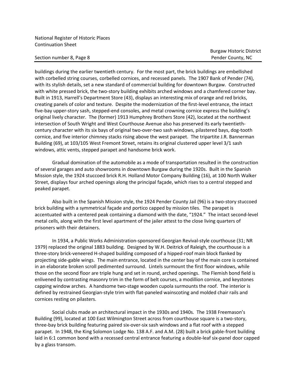Section number 8, Page 8 Pender County, NC

buildings during the earlier twentieth century. For the most part, the brick buildings are embellished with corbelled string courses, corbelled cornices, and recessed panels. The 1907 Bank of Pender (74), with its stylish details, set a new standard of commercial building for downtown Burgaw. Constructed with white pressed brick, the two-story building exhibits arched windows and a chamfered corner bay. Built in 1913, Harrell's Department Store (43), displays an interesting mix of orange and red bricks, creating panels of color and texture. Despite the modernization of the first-level entrance, the intact five-bay upper-story sash, stepped-end consoles, and metal crowning cornice express the building's original lively character. The (former) 1913 Humphrey Brothers Store (42), located at the northwest intersection of South Wright and West Courthouse Avenue also has preserved its early twentiethcentury character with its six bays of original two-over-two sash windows, pilastered bays, dog-tooth cornice, and five interior chimney stacks rising above the west parapet. The tripartite J.R. Bannerman Building (69), at 103/105 West Fremont Street, retains its original clustered upper level 3/1 sash windows, attic vents, stepped parapet and handsome brick work.

Gradual domination of the automobile as a mode of transportation resulted in the construction of several garages and auto showrooms in downtown Burgaw during the 1920s. Built in the Spanish Mission style, the 1924 stuccoed brick R.H. Holland Motor Company Building (16), at 100 North Walker Street, displays four arched openings along the principal façade, which rises to a central stepped and peaked parapet.

Also built in the Spanish Mission style, the 1924 Pender County Jail (96) is a two-story stuccoed brick building with a symmetrical façade and portico capped by mission tiles. The parapet is accentuated with a centered peak containing a diamond with the date, "1924." The intact second-level metal cells, along with the first level apartment of the jailer attest to the close living quarters of prisoners with their detainers.

In 1934, a Public Works Administration-sponsored Georgian Revival-style courthouse (31; NR 1979) replaced the original 1883 building. Designed by W.H. Deitrick of Raleigh, the courthouse is a three-story brick-veneered H-shaped building composed of a hipped-roof main block flanked by projecting side-gable wings. The main entrance, located in the center bay of the main core is contained in an elaborate broken scroll pedimented surround. Lintels surmount the first floor windows, while those on the second floor are triple hung and set in round, arched openings. The Flemish bond field is enlivened by contrasting masonry trim in the form of belt courses, a modillion cornice, and keystones capping window arches. A handsome two-stage wooden cupola surmounts the roof. The interior is defined by restrained Georgian-style trim with flat-paneled wainscoting and molded chair rails and cornices resting on pilasters.

Social clubs made an architectural impact in the 1930s and 1940s. The 1938 Freemason's Building (99), located at 100 East Wilmington Street across from courthouse square is a two-story, three-bay brick building featuring paired six-over-six sash windows and a flat roof with a stepped parapet. In 1948, the King Solomon Lodge No. 138 A.F. and A.M. (28) built a brick gable-front building laid in 6:1 common bond with a recessed central entrance featuring a double-leaf six-panel door capped by a glass transom.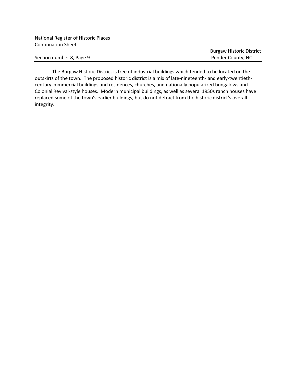Section number 8, Page 9 Pender County, NC

Burgaw Historic District

The Burgaw Historic District is free of industrial buildings which tended to be located on the outskirts of the town. The proposed historic district is a mix of late-nineteenth- and early-twentiethcentury commercial buildings and residences, churches, and nationally popularized bungalows and Colonial Revival-style houses. Modern municipal buildings, as well as several 1950s ranch houses have replaced some of the town's earlier buildings, but do not detract from the historic district's overall integrity.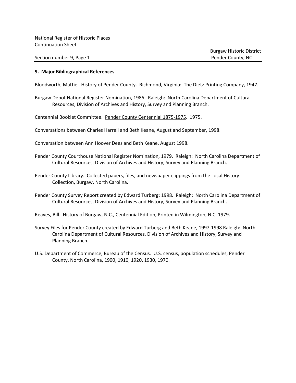#### **9. Major Bibliographical References**

Bloodworth, Mattie. History of Pender County. Richmond, Virginia: The Dietz Printing Company, 1947.

Burgaw Depot National Register Nomination, 1986. Raleigh: North Carolina Department of Cultural Resources, Division of Archives and History, Survey and Planning Branch.

Centennial Booklet Committee. Pender County Centennial 1875-1975. 1975.

- Conversations between Charles Harrell and Beth Keane, August and September, 1998.
- Conversation between Ann Hoover Dees and Beth Keane, August 1998.
- Pender County Courthouse National Register Nomination, 1979. Raleigh: North Carolina Department of Cultural Resources, Division of Archives and History, Survey and Planning Branch.
- Pender County Library. Collected papers, files, and newspaper clippings from the Local History Collection, Burgaw, North Carolina.
- Pender County Survey Report created by Edward Turberg; 1998. Raleigh: North Carolina Department of Cultural Resources, Division of Archives and History, Survey and Planning Branch.
- Reaves, Bill. History of Burgaw, N.C., Centennial Edition, Printed in Wilmington, N.C. 1979.
- Survey Files for Pender County created by Edward Turberg and Beth Keane, 1997-1998 Raleigh: North Carolina Department of Cultural Resources, Division of Archives and History, Survey and Planning Branch.
- U.S. Department of Commerce, Bureau of the Census. U.S. census, population schedules, Pender County, North Carolina, 1900, 1910, 1920, 1930, 1970.